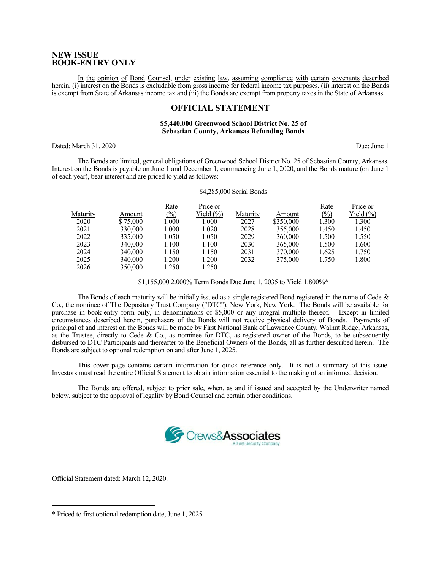### **NEW ISSUE BOOK-ENTRY ONLY**

In the opinion of Bond Counsel, under existing law, assuming compliance with certain covenants described herein, (i) interest on the Bonds is excludable from gross income for federal income tax purposes, (ii) interest on the Bonds is exempt from State of Arkansas income tax and (iii) the Bonds are exempt from property taxes in the State of Arkansas.

## **OFFICIAL STATEMENT**

#### **\$5,440,000 Greenwood School District No. 25 of Sebastian County, Arkansas Refunding Bonds**

Dated: March 31, 2020 Due: June 1

The Bonds are limited, general obligations of Greenwood School District No. 25 of Sebastian County, Arkansas. Interest on the Bonds is payable on June 1 and December 1, commencing June 1, 2020, and the Bonds mature (on June 1 of each year), bear interest and are priced to yield as follows:

#### \$4,285,000 Serial Bonds

|          |          | Rate   | Price or      |          |           | Rate   | Price or      |
|----------|----------|--------|---------------|----------|-----------|--------|---------------|
| Maturity | Amount   | $(\%)$ | Yield $(\% )$ | Maturity | Amount    | $(\%)$ | Yield $(\% )$ |
| 2020     | \$75,000 | 1.000  | 1.000         | 2027     | \$350,000 | 1.300  | 1.300         |
| 2021     | 330,000  | 1.000  | 1.020         | 2028     | 355,000   | 1.450  | 1.450         |
| 2022     | 335,000  | 1.050  | 1.050         | 2029     | 360,000   | 1.500  | 1.550         |
| 2023     | 340,000  | 1.100  | 1.100         | 2030     | 365,000   | 1.500  | 1.600         |
| 2024     | 340,000  | 1.150  | 1.150         | 2031     | 370,000   | 1.625  | 1.750         |
| 2025     | 340,000  | 1.200  | 1.200         | 2032     | 375,000   | 1.750  | 1.800         |
| 2026     | 350,000  | 1.250  | 1.250         |          |           |        |               |

\$1,155,000 2.000% Term Bonds Due June 1, 2035 to Yield 1.800%\*

The Bonds of each maturity will be initially issued as a single registered Bond registered in the name of Cede  $\&$ Co., the nominee of The Depository Trust Company ("DTC"), New York, New York. The Bonds will be available for purchase in book-entry form only, in denominations of \$5,000 or any integral multiple thereof. Except in limited circumstances described herein, purchasers of the Bonds will not receive physical delivery of Bonds. Payments of principal of and interest on the Bonds will be made by First National Bank of Lawrence County, Walnut Ridge, Arkansas, as the Trustee, directly to Cede & Co., as nominee for DTC, as registered owner of the Bonds, to be subsequently disbursed to DTC Participants and thereafter to the Beneficial Owners of the Bonds, all as further described herein. The Bonds are subject to optional redemption on and after June 1, 2025.

 This cover page contains certain information for quick reference only. It is not a summary of this issue. Investors must read the entire Official Statement to obtain information essential to the making of an informed decision.

The Bonds are offered, subject to prior sale, when, as and if issued and accepted by the Underwriter named below, subject to the approval of legality by Bond Counsel and certain other conditions.



Official Statement dated: March 12, 2020.

 $\overline{a}$ 

<sup>\*</sup> Priced to first optional redemption date, June 1, 2025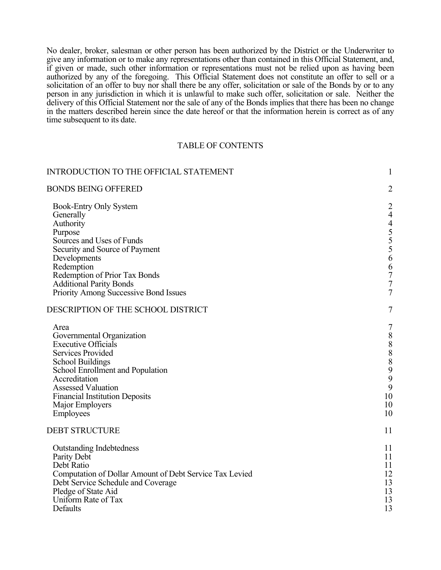No dealer, broker, salesman or other person has been authorized by the District or the Underwriter to give any information or to make any representations other than contained in this Official Statement, and, if given or made, such other information or representations must not be relied upon as having been authorized by any of the foregoing. This Official Statement does not constitute an offer to sell or a solicitation of an offer to buy nor shall there be any offer, solicitation or sale of the Bonds by or to any person in any jurisdiction in which it is unlawful to make such offer, solicitation or sale. Neither the delivery of this Official Statement nor the sale of any of the Bonds implies that there has been no change in the matters described herein since the date hereof or that the information herein is correct as of any time subsequent to its date.

### TABLE OF CONTENTS

| <b>INTRODUCTION TO THE OFFICIAL STATEMENT</b>                                                                                                                                                                                                                                     | $\mathbf{1}$                                                                                                        |
|-----------------------------------------------------------------------------------------------------------------------------------------------------------------------------------------------------------------------------------------------------------------------------------|---------------------------------------------------------------------------------------------------------------------|
| <b>BONDS BEING OFFERED</b>                                                                                                                                                                                                                                                        | $\overline{2}$                                                                                                      |
| Book-Entry Only System<br>Generally<br>Authority<br>Purpose<br>Sources and Uses of Funds<br>Security and Source of Payment<br>Developments<br>Redemption<br>Redemption of Prior Tax Bonds<br><b>Additional Parity Bonds</b><br>Priority Among Successive Bond Issues              | $\overline{c}$<br>$\overline{4}$<br>$4555$<br>$556$<br>$\begin{array}{c} 6 \\ 7 \\ 7 \end{array}$<br>$\overline{7}$ |
| DESCRIPTION OF THE SCHOOL DISTRICT                                                                                                                                                                                                                                                | $\overline{7}$                                                                                                      |
| Area<br>Governmental Organization<br><b>Executive Officials</b><br><b>Services Provided</b><br><b>School Buildings</b><br>School Enrollment and Population<br>Accreditation<br><b>Assessed Valuation</b><br><b>Financial Institution Deposits</b><br>Major Employers<br>Employees | $\overline{7}$<br>$\begin{array}{c} 8 \\ 8 \\ 8 \end{array}$<br>$\boldsymbol{8}$<br>9<br>9<br>9<br>10<br>10<br>10   |
| <b>DEBT STRUCTURE</b>                                                                                                                                                                                                                                                             | 11                                                                                                                  |
| <b>Outstanding Indebtedness</b><br>Parity Debt<br>Debt Ratio<br>Computation of Dollar Amount of Debt Service Tax Levied<br>Debt Service Schedule and Coverage<br>Pledge of State Aid<br>Uniform Rate of Tax<br>Defaults                                                           | 11<br>11<br>11<br>12<br>13<br>13<br>13<br>13                                                                        |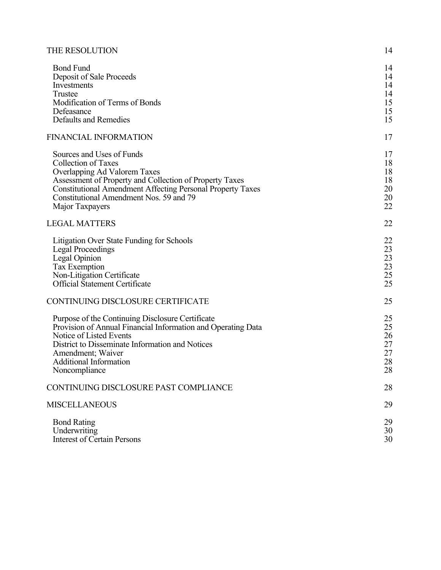| THE RESOLUTION |  |
|----------------|--|
|----------------|--|

| <b>Bond Fund</b><br>Deposit of Sale Proceeds<br>Investments<br>Trustee<br>Modification of Terms of Bonds<br>Defeasance<br><b>Defaults and Remedies</b>                                                                                                                                | 14<br>14<br>14<br>14<br>15<br>15<br>15 |
|---------------------------------------------------------------------------------------------------------------------------------------------------------------------------------------------------------------------------------------------------------------------------------------|----------------------------------------|
| <b>FINANCIAL INFORMATION</b>                                                                                                                                                                                                                                                          | 17                                     |
| Sources and Uses of Funds<br><b>Collection of Taxes</b><br>Overlapping Ad Valorem Taxes<br>Assessment of Property and Collection of Property Taxes<br><b>Constitutional Amendment Affecting Personal Property Taxes</b><br>Constitutional Amendment Nos. 59 and 79<br>Major Taxpayers | 17<br>18<br>18<br>18<br>20<br>20<br>22 |
| <b>LEGAL MATTERS</b>                                                                                                                                                                                                                                                                  | 22                                     |
| Litigation Over State Funding for Schools<br><b>Legal Proceedings</b><br>Legal Opinion<br><b>Tax Exemption</b><br>Non-Litigation Certificate<br><b>Official Statement Certificate</b>                                                                                                 | 22<br>23<br>23<br>23<br>$25\,$<br>25   |
| CONTINUING DISCLOSURE CERTIFICATE                                                                                                                                                                                                                                                     | 25                                     |
| Purpose of the Continuing Disclosure Certificate<br>Provision of Annual Financial Information and Operating Data<br>Notice of Listed Events<br>District to Disseminate Information and Notices<br>Amendment; Waiver<br><b>Additional Information</b><br>Noncompliance                 | 25<br>25<br>26<br>27<br>27<br>28<br>28 |
| CONTINUING DISCLOSURE PAST COMPLIANCE                                                                                                                                                                                                                                                 | 28                                     |
| <b>MISCELLANEOUS</b>                                                                                                                                                                                                                                                                  | 29                                     |
| <b>Bond Rating</b><br>Underwriting<br><b>Interest of Certain Persons</b>                                                                                                                                                                                                              | 29<br>30<br>30                         |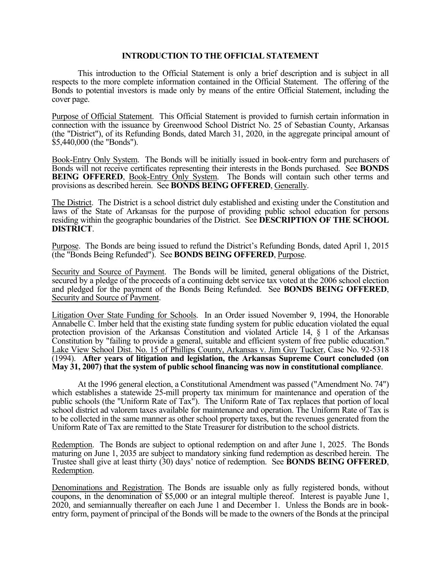# **INTRODUCTION TO THE OFFICIAL STATEMENT**

This introduction to the Official Statement is only a brief description and is subject in all respects to the more complete information contained in the Official Statement. The offering of the Bonds to potential investors is made only by means of the entire Official Statement, including the cover page.

Purpose of Official Statement. This Official Statement is provided to furnish certain information in connection with the issuance by Greenwood School District No. 25 of Sebastian County, Arkansas (the "District"), of its Refunding Bonds, dated March 31, 2020, in the aggregate principal amount of \$5,440,000 (the "Bonds").

Book-Entry Only System. The Bonds will be initially issued in book-entry form and purchasers of Bonds will not receive certificates representing their interests in the Bonds purchased. See **BONDS BEING OFFERED, Book-Entry Only System.** The Bonds will contain such other terms and provisions as described herein. See **BONDS BEING OFFERED**, Generally.

The District. The District is a school district duly established and existing under the Constitution and laws of the State of Arkansas for the purpose of providing public school education for persons residing within the geographic boundaries of the District. See **DESCRIPTION OF THE SCHOOL DISTRICT**.

Purpose. The Bonds are being issued to refund the District's Refunding Bonds, dated April 1, 2015 (the "Bonds Being Refunded"). See **BONDS BEING OFFERED**, Purpose.

Security and Source of Payment. The Bonds will be limited, general obligations of the District, secured by a pledge of the proceeds of a continuing debt service tax voted at the 2006 school election and pledged for the payment of the Bonds Being Refunded. See **BONDS BEING OFFERED**, Security and Source of Payment.

Litigation Over State Funding for Schools. In an Order issued November 9, 1994, the Honorable Annabelle C. Imber held that the existing state funding system for public education violated the equal protection provision of the Arkansas Constitution and violated Article 14, § 1 of the Arkansas Constitution by "failing to provide a general, suitable and efficient system of free public education." Lake View School Dist. No. 15 of Phillips County, Arkansas v. Jim Guy Tucker, Case No. 92-5318 (1994). **After years of litigation and legislation, the Arkansas Supreme Court concluded (on May 31, 2007) that the system of public school financing was now in constitutional compliance**.

At the 1996 general election, a Constitutional Amendment was passed ("Amendment No. 74") which establishes a statewide 25-mill property tax minimum for maintenance and operation of the public schools (the "Uniform Rate of Tax"). The Uniform Rate of Tax replaces that portion of local school district ad valorem taxes available for maintenance and operation. The Uniform Rate of Tax is to be collected in the same manner as other school property taxes, but the revenues generated from the Uniform Rate of Tax are remitted to the State Treasurer for distribution to the school districts.

Redemption. The Bonds are subject to optional redemption on and after June 1, 2025. The Bonds maturing on June 1, 2035 are subject to mandatory sinking fund redemption as described herein. The Trustee shall give at least thirty (30) days' notice of redemption. See **BONDS BEING OFFERED**, Redemption.

Denominations and Registration. The Bonds are issuable only as fully registered bonds, without coupons, in the denomination of \$5,000 or an integral multiple thereof. Interest is payable June 1, 2020, and semiannually thereafter on each June 1 and December 1. Unless the Bonds are in bookentry form, payment of principal of the Bonds will be made to the owners of the Bonds at the principal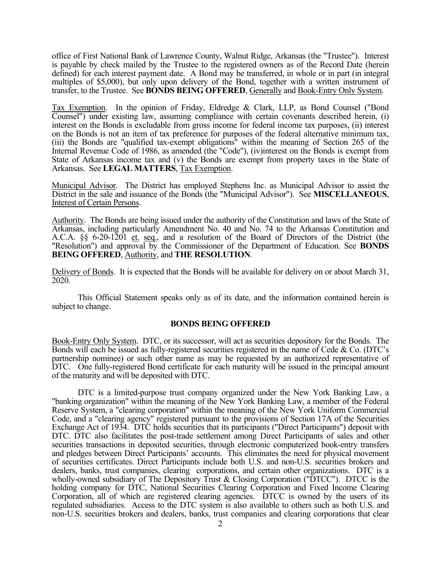office of First National Bank of Lawrence County, Walnut Ridge, Arkansas (the "Trustee"). Interest is payable by check mailed by the Trustee to the registered owners as of the Record Date (herein defined) for each interest payment date. A Bond may be transferred, in whole or in part (in integral multiples of \$5,000), but only upon delivery of the Bond, together with a written instrument of transfer, to the Trustee. See **BONDS BEING OFFERED**, Generally and Book-Entry Only System.

Tax Exemption. In the opinion of Friday, Eldredge & Clark, LLP, as Bond Counsel ("Bond Counsel") under existing law, assuming compliance with certain covenants described herein, (i) interest on the Bonds is excludable from gross income for federal income tax purposes, (ii) interest on the Bonds is not an item of tax preference for purposes of the federal alternative minimum tax, (iii) the Bonds are "qualified tax-exempt obligations" within the meaning of Section 265 of the Internal Revenue Code of 1986, as amended (the "Code"), (iv)interest on the Bonds is exempt from State of Arkansas income tax and (v) the Bonds are exempt from property taxes in the State of Arkansas. See **LEGAL MATTERS**, Tax Exemption.

Municipal Advisor. The District has employed Stephens Inc. as Municipal Advisor to assist the District in the sale and issuance of the Bonds (the "Municipal Advisor"). See **MISCELLANEOUS**, Interest of Certain Persons.

Authority. The Bonds are being issued under the authority of the Constitution and laws of the State of Arkansas, including particularly Amendment No. 40 and No. 74 to the Arkansas Constitution and A.C.A. §§ 6-20-1201 et. seq., and a resolution of the Board of Directors of the District (the "Resolution") and approval by the Commissioner of the Department of Education. See **BONDS BEING OFFERED**, Authority, and **THE RESOLUTION**.

Delivery of Bonds. It is expected that the Bonds will be available for delivery on or about March 31, 2020.

This Official Statement speaks only as of its date, and the information contained herein is subject to change.

#### **BONDS BEING OFFERED**

Book-Entry Only System. DTC, or its successor, will act as securities depository for the Bonds. The Bonds will each be issued as fully-registered securities registered in the name of Cede & Co. (DTC's partnership nominee) or such other name as may be requested by an authorized representative of DTC. One fully-registered Bond certificate for each maturity will be issued in the principal amount of the maturity and will be deposited with DTC.

 DTC is a limited-purpose trust company organized under the New York Banking Law, a "banking organization" within the meaning of the New York Banking Law, a member of the Federal Reserve System, a "clearing corporation" within the meaning of the New York Uniform Commercial Code, and a "clearing agency" registered pursuant to the provisions of Section 17A of the Securities Exchange Act of 1934. DTC holds securities that its participants ("Direct Participants") deposit with DTC. DTC also facilitates the post-trade settlement among Direct Participants of sales and other securities transactions in deposited securities, through electronic computerized book-entry transfers and pledges between Direct Participants' accounts. This eliminates the need for physical movement of securities certificates. Direct Participants include both U.S. and non-U.S. securities brokers and dealers, banks, trust companies, clearing corporations, and certain other organizations. DTC is a wholly-owned subsidiary of The Depository Trust & Closing Corporation ("DTCC"). DTCC is the holding company for DTC, National Securities Clearing Corporation and Fixed Income Clearing Corporation, all of which are registered clearing agencies. DTCC is owned by the users of its regulated subsidiaries. Access to the DTC system is also available to others such as both U.S. and non-U.S. securities brokers and dealers, banks, trust companies and clearing corporations that clear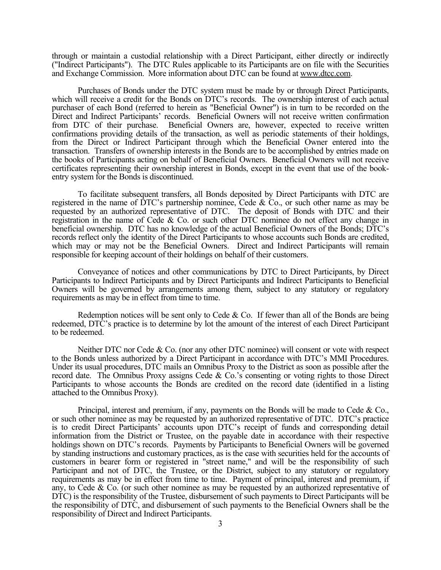through or maintain a custodial relationship with a Direct Participant, either directly or indirectly ("Indirect Participants"). The DTC Rules applicable to its Participants are on file with the Securities and Exchange Commission. More information about DTC can be found at www.dtcc.com.

Purchases of Bonds under the DTC system must be made by or through Direct Participants, which will receive a credit for the Bonds on DTC's records. The ownership interest of each actual purchaser of each Bond (referred to herein as "Beneficial Owner") is in turn to be recorded on the Direct and Indirect Participants' records. Beneficial Owners will not receive written confirmation from DTC of their purchase. Beneficial Owners are, however, expected to receive written confirmations providing details of the transaction, as well as periodic statements of their holdings, from the Direct or Indirect Participant through which the Beneficial Owner entered into the transaction. Transfers of ownership interests in the Bonds are to be accomplished by entries made on the books of Participants acting on behalf of Beneficial Owners. Beneficial Owners will not receive certificates representing their ownership interest in Bonds, except in the event that use of the bookentry system for the Bonds is discontinued.

To facilitate subsequent transfers, all Bonds deposited by Direct Participants with DTC are registered in the name of DTC's partnership nominee, Cede & Co., or such other name as may be requested by an authorized representative of DTC. The deposit of Bonds with DTC and their registration in the name of Cede & Co. or such other DTC nominee do not effect any change in beneficial ownership. DTC has no knowledge of the actual Beneficial Owners of the Bonds; DTC's records reflect only the identity of the Direct Participants to whose accounts such Bonds are credited, which may or may not be the Beneficial Owners. Direct and Indirect Participants will remain responsible for keeping account of their holdings on behalf of their customers.

Conveyance of notices and other communications by DTC to Direct Participants, by Direct Participants to Indirect Participants and by Direct Participants and Indirect Participants to Beneficial Owners will be governed by arrangements among them, subject to any statutory or regulatory requirements as may be in effect from time to time.

Redemption notices will be sent only to Cede  $&$  Co. If fewer than all of the Bonds are being redeemed, DTC's practice is to determine by lot the amount of the interest of each Direct Participant to be redeemed.

Neither DTC nor Cede & Co. (nor any other DTC nominee) will consent or vote with respect to the Bonds unless authorized by a Direct Participant in accordance with DTC's MMI Procedures. Under its usual procedures, DTC mails an Omnibus Proxy to the District as soon as possible after the record date. The Omnibus Proxy assigns Cede & Co.'s consenting or voting rights to those Direct Participants to whose accounts the Bonds are credited on the record date (identified in a listing attached to the Omnibus Proxy).

Principal, interest and premium, if any, payments on the Bonds will be made to Cede & Co., or such other nominee as may be requested by an authorized representative of DTC. DTC's practice is to credit Direct Participants' accounts upon DTC's receipt of funds and corresponding detail information from the District or Trustee, on the payable date in accordance with their respective holdings shown on DTC's records. Payments by Participants to Beneficial Owners will be governed by standing instructions and customary practices, as is the case with securities held for the accounts of customers in bearer form or registered in "street name," and will be the responsibility of such Participant and not of DTC, the Trustee, or the District, subject to any statutory or regulatory requirements as may be in effect from time to time. Payment of principal, interest and premium, if any, to Cede & Co. (or such other nominee as may be requested by an authorized representative of DTC) is the responsibility of the Trustee, disbursement of such payments to Direct Participants will be the responsibility of DTC, and disbursement of such payments to the Beneficial Owners shall be the responsibility of Direct and Indirect Participants.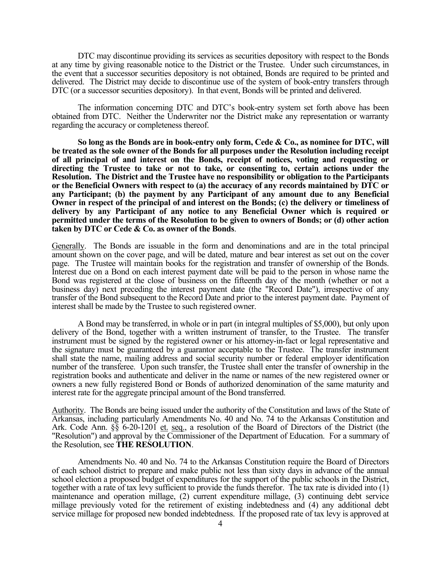DTC may discontinue providing its services as securities depository with respect to the Bonds at any time by giving reasonable notice to the District or the Trustee. Under such circumstances, in the event that a successor securities depository is not obtained, Bonds are required to be printed and delivered. The District may decide to discontinue use of the system of book-entry transfers through DTC (or a successor securities depository). In that event, Bonds will be printed and delivered.

The information concerning DTC and DTC's book-entry system set forth above has been obtained from DTC. Neither the Underwriter nor the District make any representation or warranty regarding the accuracy or completeness thereof.

**So long as the Bonds are in book-entry only form, Cede & Co., as nominee for DTC, will be treated as the sole owner of the Bonds for all purposes under the Resolution including receipt of all principal of and interest on the Bonds, receipt of notices, voting and requesting or directing the Trustee to take or not to take, or consenting to, certain actions under the Resolution. The District and the Trustee have no responsibility or obligation to the Participants or the Beneficial Owners with respect to (a) the accuracy of any records maintained by DTC or any Participant; (b) the payment by any Participant of any amount due to any Beneficial Owner in respect of the principal of and interest on the Bonds; (c) the delivery or timeliness of delivery by any Participant of any notice to any Beneficial Owner which is required or permitted under the terms of the Resolution to be given to owners of Bonds; or (d) other action taken by DTC or Cede & Co. as owner of the Bonds**.

Generally. The Bonds are issuable in the form and denominations and are in the total principal amount shown on the cover page, and will be dated, mature and bear interest as set out on the cover page. The Trustee will maintain books for the registration and transfer of ownership of the Bonds. Interest due on a Bond on each interest payment date will be paid to the person in whose name the Bond was registered at the close of business on the fifteenth day of the month (whether or not a business day) next preceding the interest payment date (the "Record Date"), irrespective of any transfer of the Bond subsequent to the Record Date and prior to the interest payment date. Payment of interest shall be made by the Trustee to such registered owner.

A Bond may be transferred, in whole or in part (in integral multiples of \$5,000), but only upon delivery of the Bond, together with a written instrument of transfer, to the Trustee. The transfer instrument must be signed by the registered owner or his attorney-in-fact or legal representative and the signature must be guaranteed by a guarantor acceptable to the Trustee. The transfer instrument shall state the name, mailing address and social security number or federal employer identification number of the transferee. Upon such transfer, the Trustee shall enter the transfer of ownership in the registration books and authenticate and deliver in the name or names of the new registered owner or owners a new fully registered Bond or Bonds of authorized denomination of the same maturity and interest rate for the aggregate principal amount of the Bond transferred.

Authority. The Bonds are being issued under the authority of the Constitution and laws of the State of Arkansas, including particularly Amendments No. 40 and No. 74 to the Arkansas Constitution and Ark. Code Ann. §§ 6-20-1201 et. seq., a resolution of the Board of Directors of the District (the "Resolution") and approval by the Commissioner of the Department of Education. For a summary of the Resolution, see **THE RESOLUTION**.

Amendments No. 40 and No. 74 to the Arkansas Constitution require the Board of Directors of each school district to prepare and make public not less than sixty days in advance of the annual school election a proposed budget of expenditures for the support of the public schools in the District, together with a rate of tax levy sufficient to provide the funds therefor. The tax rate is divided into (1) maintenance and operation millage, (2) current expenditure millage, (3) continuing debt service millage previously voted for the retirement of existing indebtedness and (4) any additional debt service millage for proposed new bonded indebtedness. If the proposed rate of tax levy is approved at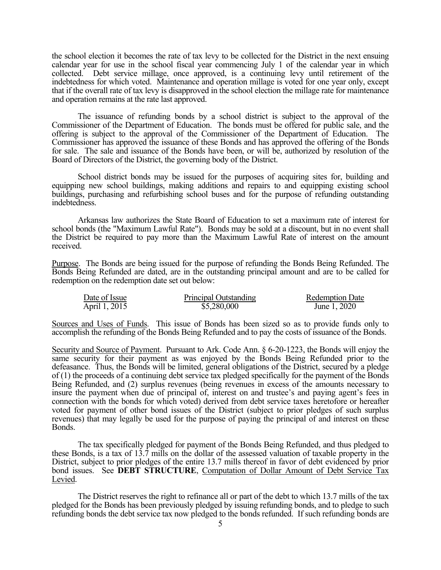the school election it becomes the rate of tax levy to be collected for the District in the next ensuing calendar year for use in the school fiscal year commencing July 1 of the calendar year in which collected. Debt service millage, once approved, is a continuing levy until retirement of the indebtedness for which voted. Maintenance and operation millage is voted for one year only, except that if the overall rate of tax levy is disapproved in the school election the millage rate for maintenance and operation remains at the rate last approved.

The issuance of refunding bonds by a school district is subject to the approval of the Commissioner of the Department of Education. The bonds must be offered for public sale, and the offering is subject to the approval of the Commissioner of the Department of Education. The Commissioner has approved the issuance of these Bonds and has approved the offering of the Bonds for sale. The sale and issuance of the Bonds have been, or will be, authorized by resolution of the Board of Directors of the District, the governing body of the District.

School district bonds may be issued for the purposes of acquiring sites for, building and equipping new school buildings, making additions and repairs to and equipping existing school buildings, purchasing and refurbishing school buses and for the purpose of refunding outstanding indebtedness.

Arkansas law authorizes the State Board of Education to set a maximum rate of interest for school bonds (the "Maximum Lawful Rate"). Bonds may be sold at a discount, but in no event shall the District be required to pay more than the Maximum Lawful Rate of interest on the amount received.

Purpose. The Bonds are being issued for the purpose of refunding the Bonds Being Refunded. The Bonds Being Refunded are dated, are in the outstanding principal amount and are to be called for redemption on the redemption date set out below:

| Date of Issue | Principal Outstanding | <b>Redemption Date</b> |
|---------------|-----------------------|------------------------|
| April 1, 2015 | \$5,280,000           | June 1, 2020           |

Sources and Uses of Funds. This issue of Bonds has been sized so as to provide funds only to accomplish the refunding of the Bonds Being Refunded and to pay the costs of issuance of the Bonds.

Security and Source of Payment. Pursuant to Ark. Code Ann. § 6-20-1223, the Bonds will enjoy the same security for their payment as was enjoyed by the Bonds Being Refunded prior to the defeasance. Thus, the Bonds will be limited, general obligations of the District, secured by a pledge of (1) the proceeds of a continuing debt service tax pledged specifically for the payment of the Bonds Being Refunded, and (2) surplus revenues (being revenues in excess of the amounts necessary to insure the payment when due of principal of, interest on and trustee's and paying agent's fees in connection with the bonds for which voted) derived from debt service taxes heretofore or hereafter voted for payment of other bond issues of the District (subject to prior pledges of such surplus revenues) that may legally be used for the purpose of paying the principal of and interest on these Bonds.

The tax specifically pledged for payment of the Bonds Being Refunded, and thus pledged to these Bonds, is a tax of 13.7 mills on the dollar of the assessed valuation of taxable property in the District, subject to prior pledges of the entire 13.7 mills thereof in favor of debt evidenced by prior bond issues. See **DEBT STRUCTURE**, Computation of Dollar Amount of Debt Service Tax Levied.

The District reserves the right to refinance all or part of the debt to which 13.7 mills of the tax pledged for the Bonds has been previously pledged by issuing refunding bonds, and to pledge to such refunding bonds the debt service tax now pledged to the bonds refunded. If such refunding bonds are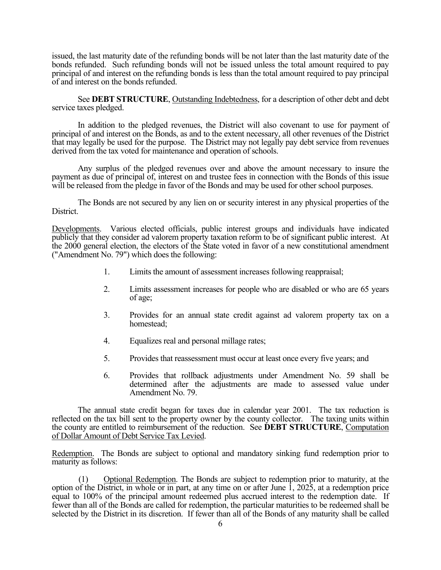issued, the last maturity date of the refunding bonds will be not later than the last maturity date of the bonds refunded. Such refunding bonds will not be issued unless the total amount required to pay principal of and interest on the refunding bonds is less than the total amount required to pay principal of and interest on the bonds refunded.

 See **DEBT STRUCTURE**, Outstanding Indebtedness, for a description of other debt and debt service taxes pledged.

In addition to the pledged revenues, the District will also covenant to use for payment of principal of and interest on the Bonds, as and to the extent necessary, all other revenues of the District that may legally be used for the purpose. The District may not legally pay debt service from revenues derived from the tax voted for maintenance and operation of schools.

Any surplus of the pledged revenues over and above the amount necessary to insure the payment as due of principal of, interest on and trustee fees in connection with the Bonds of this issue will be released from the pledge in favor of the Bonds and may be used for other school purposes.

The Bonds are not secured by any lien on or security interest in any physical properties of the District.

Developments. Various elected officials, public interest groups and individuals have indicated publicly that they consider ad valorem property taxation reform to be of significant public interest. At the 2000 general election, the electors of the State voted in favor of a new constitutional amendment ("Amendment No. 79") which does the following:

- 1. Limits the amount of assessment increases following reappraisal;
- 2. Limits assessment increases for people who are disabled or who are 65 years of age;
- 3. Provides for an annual state credit against ad valorem property tax on a homestead;
- 4. Equalizes real and personal millage rates;
- 5. Provides that reassessment must occur at least once every five years; and
- 6. Provides that rollback adjustments under Amendment No. 59 shall be determined after the adjustments are made to assessed value under Amendment No. 79.

The annual state credit began for taxes due in calendar year 2001. The tax reduction is reflected on the tax bill sent to the property owner by the county collector. The taxing units within the county are entitled to reimbursement of the reduction. See **DEBT STRUCTURE**, Computation of Dollar Amount of Debt Service Tax Levied.

Redemption. The Bonds are subject to optional and mandatory sinking fund redemption prior to maturity as follows:

(1) Optional Redemption. The Bonds are subject to redemption prior to maturity, at the option of the District, in whole or in part, at any time on or after June 1, 2025, at a redemption price equal to 100% of the principal amount redeemed plus accrued interest to the redemption date. If fewer than all of the Bonds are called for redemption, the particular maturities to be redeemed shall be selected by the District in its discretion. If fewer than all of the Bonds of any maturity shall be called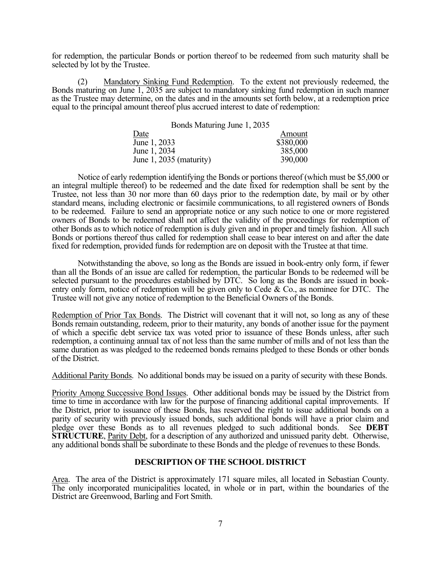for redemption, the particular Bonds or portion thereof to be redeemed from such maturity shall be selected by lot by the Trustee.

 (2) Mandatory Sinking Fund Redemption. To the extent not previously redeemed, the Bonds maturing on June 1, 2035 are subject to mandatory sinking fund redemption in such manner as the Trustee may determine, on the dates and in the amounts set forth below, at a redemption price equal to the principal amount thereof plus accrued interest to date of redemption:

| Bonds Maturing June 1, 2035 |           |
|-----------------------------|-----------|
| Date                        | Amount    |
| June 1, 2033                | \$380,000 |
| June 1, 2034                | 385,000   |
| June $1, 2035$ (maturity)   | 390,000   |

Notice of early redemption identifying the Bonds or portions thereof (which must be \$5,000 or an integral multiple thereof) to be redeemed and the date fixed for redemption shall be sent by the Trustee, not less than 30 nor more than 60 days prior to the redemption date, by mail or by other standard means, including electronic or facsimile communications, to all registered owners of Bonds to be redeemed. Failure to send an appropriate notice or any such notice to one or more registered owners of Bonds to be redeemed shall not affect the validity of the proceedings for redemption of other Bonds as to which notice of redemption is duly given and in proper and timely fashion. All such Bonds or portions thereof thus called for redemption shall cease to bear interest on and after the date fixed for redemption, provided funds for redemption are on deposit with the Trustee at that time.

Notwithstanding the above, so long as the Bonds are issued in book-entry only form, if fewer than all the Bonds of an issue are called for redemption, the particular Bonds to be redeemed will be selected pursuant to the procedures established by DTC. So long as the Bonds are issued in bookentry only form, notice of redemption will be given only to Cede & Co., as nominee for DTC. The Trustee will not give any notice of redemption to the Beneficial Owners of the Bonds.

Redemption of Prior Tax Bonds. The District will covenant that it will not, so long as any of these Bonds remain outstanding, redeem, prior to their maturity, any bonds of another issue for the payment of which a specific debt service tax was voted prior to issuance of these Bonds unless, after such redemption, a continuing annual tax of not less than the same number of mills and of not less than the same duration as was pledged to the redeemed bonds remains pledged to these Bonds or other bonds of the District.

Additional Parity Bonds. No additional bonds may be issued on a parity of security with these Bonds.

Priority Among Successive Bond Issues. Other additional bonds may be issued by the District from time to time in accordance with law for the purpose of financing additional capital improvements. If the District, prior to issuance of these Bonds, has reserved the right to issue additional bonds on a parity of security with previously issued bonds, such additional bonds will have a prior claim and pledge over these Bonds as to all revenues pledged to such additional bonds. See **DEBT STRUCTURE**, Parity Debt, for a description of any authorized and unissued parity debt. Otherwise, any additional bonds shall be subordinate to these Bonds and the pledge of revenues to these Bonds.

# **DESCRIPTION OF THE SCHOOL DISTRICT**

Area. The area of the District is approximately 171 square miles, all located in Sebastian County. The only incorporated municipalities located, in whole or in part, within the boundaries of the District are Greenwood, Barling and Fort Smith.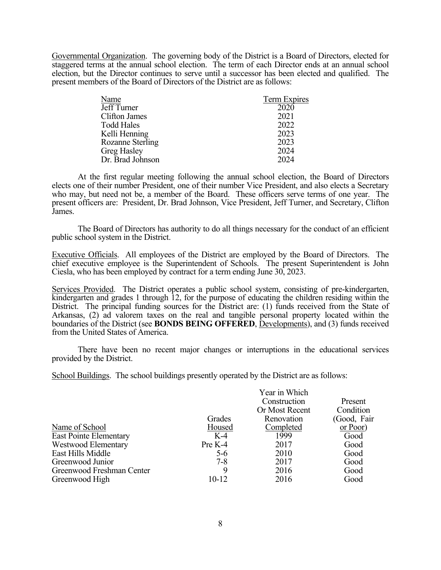Governmental Organization. The governing body of the District is a Board of Directors, elected for staggered terms at the annual school election. The term of each Director ends at an annual school election, but the Director continues to serve until a successor has been elected and qualified. The present members of the Board of Directors of the District are as follows:

| Name                 | Term Expires |
|----------------------|--------------|
| Jeff Turner          | 2020         |
| <b>Clifton James</b> | 2021         |
| Todd Hales           | 2022         |
| Kelli Henning        | 2023         |
| Rozanne Sterling     | 2023         |
| Greg Hasley          | 2024         |
| Dr. Brad Johnson     | 2024         |

At the first regular meeting following the annual school election, the Board of Directors elects one of their number President, one of their number Vice President, and also elects a Secretary who may, but need not be, a member of the Board. These officers serve terms of one year. The present officers are: President, Dr. Brad Johnson, Vice President, Jeff Turner, and Secretary, Clifton James.

The Board of Directors has authority to do all things necessary for the conduct of an efficient public school system in the District.

Executive Officials. All employees of the District are employed by the Board of Directors. The chief executive employee is the Superintendent of Schools. The present Superintendent is John Ciesla, who has been employed by contract for a term ending June 30, 2023.

Services Provided. The District operates a public school system, consisting of pre-kindergarten, kindergarten and grades 1 through 12, for the purpose of educating the children residing within the District. The principal funding sources for the District are: (1) funds received from the State of Arkansas, (2) ad valorem taxes on the real and tangible personal property located within the boundaries of the District (see **BONDS BEING OFFERED**, Developments), and (3) funds received from the United States of America.

There have been no recent major changes or interruptions in the educational services provided by the District.

School Buildings. The school buildings presently operated by the District are as follows:

|                               |         | Year in Which  |              |
|-------------------------------|---------|----------------|--------------|
|                               |         | Construction   | Present      |
|                               |         | Or Most Recent | Condition    |
|                               | Grades  | Renovation     | (Good, Fair) |
| Name of School                | Housed  | Completed      | or Poor)     |
| <b>East Pointe Elementary</b> | $K-4$   | 1999           | Good         |
| Westwood Elementary           | Pre K-4 | 2017           | Good         |
| East Hills Middle             | $5-6$   | 2010           | Good         |
| Greenwood Junior              | $7 - 8$ | 2017           | Good         |
| Greenwood Freshman Center     | 9       | 2016           | Good         |
| Greenwood High                | 10-12   | 2016           | Good         |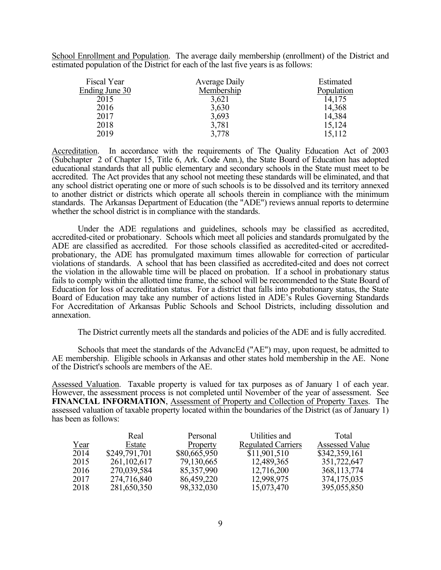School Enrollment and Population. The average daily membership (enrollment) of the District and estimated population of the District for each of the last five years is as follows:

| Fiscal Year    | Average Daily | Estimated  |
|----------------|---------------|------------|
| Ending June 30 | Membership    | Population |
| 2015           | 3,621         | 14,175     |
| 2016           | 3,630         | 14,368     |
| 2017           | 3,693         | 14,384     |
| 2018           | 3,781         | 15,124     |
| 2019           | 3,778         | 15,112     |

Accreditation. In accordance with the requirements of The Quality Education Act of 2003 (Subchapter 2 of Chapter 15, Title 6, Ark. Code Ann.), the State Board of Education has adopted educational standards that all public elementary and secondary schools in the State must meet to be accredited. The Act provides that any school not meeting these standards will be eliminated, and that any school district operating one or more of such schools is to be dissolved and its territory annexed to another district or districts which operate all schools therein in compliance with the minimum standards. The Arkansas Department of Education (the "ADE") reviews annual reports to determine whether the school district is in compliance with the standards.

Under the ADE regulations and guidelines, schools may be classified as accredited, accredited-cited or probationary. Schools which meet all policies and standards promulgated by the ADE are classified as accredited. For those schools classified as accredited-cited or accreditedprobationary, the ADE has promulgated maximum times allowable for correction of particular violations of standards. A school that has been classified as accredited-cited and does not correct the violation in the allowable time will be placed on probation. If a school in probationary status fails to comply within the allotted time frame, the school will be recommended to the State Board of Education for loss of accreditation status. For a district that falls into probationary status, the State Board of Education may take any number of actions listed in ADE's Rules Governing Standards For Accreditation of Arkansas Public Schools and School Districts, including dissolution and annexation.

The District currently meets all the standards and policies of the ADE and is fully accredited.

Schools that meet the standards of the AdvancEd ("AE") may, upon request, be admitted to AE membership. Eligible schools in Arkansas and other states hold membership in the AE. None of the District's schools are members of the AE.

Assessed Valuation. Taxable property is valued for tax purposes as of January 1 of each year. However, the assessment process is not completed until November of the year of assessment. See **FINANCIAL INFORMATION**, Assessment of Property and Collection of Property Taxes. The assessed valuation of taxable property located within the boundaries of the District (as of January 1) has been as follows:

|      | Real          | Personal     | Utilities and             | Total                 |
|------|---------------|--------------|---------------------------|-----------------------|
| Year | Estate        | Property     | <b>Regulated Carriers</b> | <b>Assessed Value</b> |
| 2014 | \$249,791,701 | \$80,665,950 | \$11,901,510              | \$342,359,161         |
| 2015 | 261, 102, 617 | 79,130,665   | 12,489,365                | 351,722,647           |
| 2016 | 270,039,584   | 85,357,990   | 12,716,200                | 368, 113, 774         |
| 2017 | 274,716,840   | 86,459,220   | 12,998,975                | 374, 175, 035         |
| 2018 | 281,650,350   | 98,332,030   | 15,073,470                | 395,055,850           |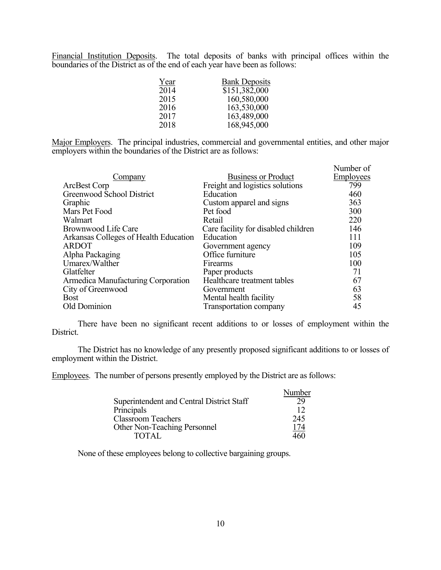Financial Institution Deposits. The total deposits of banks with principal offices within the boundaries of the District as of the end of each year have been as follows:

| Year | <b>Bank Deposits</b> |
|------|----------------------|
| 2014 | \$151,382,000        |
| 2015 | 160,580,000          |
| 2016 | 163,530,000          |
| 2017 | 163,489,000          |
| 2018 | 168,945,000          |

Major Employers. The principal industries, commercial and governmental entities, and other major employers within the boundaries of the District are as follows:

| Company                               | <b>Business or Product</b>          | Number of<br><b>Employees</b> |
|---------------------------------------|-------------------------------------|-------------------------------|
| ArcBest Corp                          | Freight and logistics solutions     | 799                           |
| Greenwood School District             | Education                           | 460                           |
| Graphic                               | Custom apparel and signs            | 363                           |
| Mars Pet Food                         | Pet food                            | 300                           |
| Walmart                               | Retail                              | 220                           |
| Brownwood Life Care                   | Care facility for disabled children | 146                           |
| Arkansas Colleges of Health Education | Education                           | 111                           |
| <b>ARDOT</b>                          | Government agency                   | 109                           |
| Alpha Packaging                       | Office furniture                    | 105                           |
| Umarex/Walther                        | Firearms                            | 100                           |
| Glatfelter                            | Paper products                      | 71                            |
| Armedica Manufacturing Corporation    | Healthcare treatment tables         | 67                            |
| City of Greenwood                     | Government                          | 63                            |
| <b>Bost</b>                           | Mental health facility              | 58                            |
| Old Dominion                          | Transportation company              | 45                            |

There have been no significant recent additions to or losses of employment within the District.

The District has no knowledge of any presently proposed significant additions to or losses of employment within the District.

Employees. The number of persons presently employed by the District are as follows:

|                                           | Number     |
|-------------------------------------------|------------|
| Superintendent and Central District Staff | 29         |
| Principals                                | 12         |
| <b>Classroom Teachers</b>                 | 245        |
| Other Non-Teaching Personnel              | <u>174</u> |
| <b>TOTAL</b>                              | 460        |

None of these employees belong to collective bargaining groups.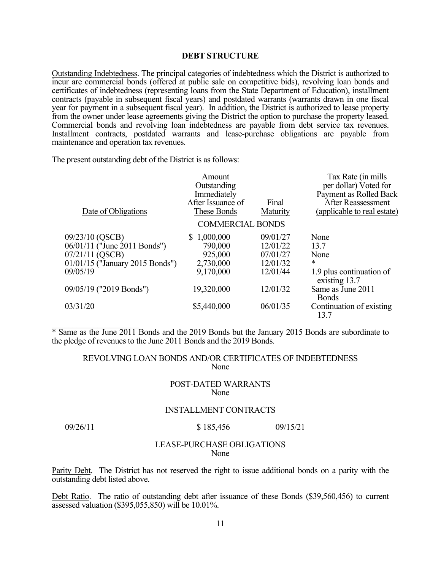### **DEBT STRUCTURE**

Outstanding Indebtedness. The principal categories of indebtedness which the District is authorized to incur are commercial bonds (offered at public sale on competitive bids), revolving loan bonds and certificates of indebtedness (representing loans from the State Department of Education), installment contracts (payable in subsequent fiscal years) and postdated warrants (warrants drawn in one fiscal year for payment in a subsequent fiscal year). In addition, the District is authorized to lease property from the owner under lease agreements giving the District the option to purchase the property leased. Commercial bonds and revolving loan indebtedness are payable from debt service tax revenues. Installment contracts, postdated warrants and lease-purchase obligations are payable from maintenance and operation tax revenues.

The present outstanding debt of the District is as follows:

| Date of Obligations                                                                                                                                      | Amount<br>Outstanding<br>Immediately<br>After Issuance of<br>These Bonds                 | Final<br>Maturity                                                                | Tax Rate (in mills)<br>per dollar) Voted for<br>Payment as Rolled Back<br>After Reassessment<br>(applicable to real estate)                     |
|----------------------------------------------------------------------------------------------------------------------------------------------------------|------------------------------------------------------------------------------------------|----------------------------------------------------------------------------------|-------------------------------------------------------------------------------------------------------------------------------------------------|
|                                                                                                                                                          | <b>COMMERCIAL BONDS</b>                                                                  |                                                                                  |                                                                                                                                                 |
| 09/23/10 (QSCB)<br>06/01/11 ("June 2011 Bonds")<br>07/21/11 (QSCB)<br>01/01/15 ("January 2015 Bonds")<br>09/05/19<br>09/05/19 ("2019 Bonds")<br>03/31/20 | \$1,000,000<br>790,000<br>925,000<br>2,730,000<br>9,170,000<br>19,320,000<br>\$5,440,000 | 09/01/27<br>12/01/22<br>07/01/27<br>12/01/32<br>12/01/44<br>12/01/32<br>06/01/35 | None<br>13.7<br>None<br>*<br>1.9 plus continuation of<br>existing 13.7<br>Same as June 2011<br><b>Bonds</b><br>Continuation of existing<br>13.7 |
|                                                                                                                                                          |                                                                                          |                                                                                  |                                                                                                                                                 |

\* Same as the June 2011 Bonds and the 2019 Bonds but the January 2015 Bonds are subordinate to the pledge of revenues to the June 2011 Bonds and the 2019 Bonds.

# REVOLVING LOAN BONDS AND/OR CERTIFICATES OF INDEBTEDNESS None

### POST-DATED WARRANTS None

#### INSTALLMENT CONTRACTS

## 09/26/11 \$ 185,456 09/15/21

### LEASE-PURCHASE OBLIGATIONS None

Parity Debt. The District has not reserved the right to issue additional bonds on a parity with the outstanding debt listed above.

Debt Ratio. The ratio of outstanding debt after issuance of these Bonds (\$39,560,456) to current assessed valuation (\$395,055,850) will be 10.01%.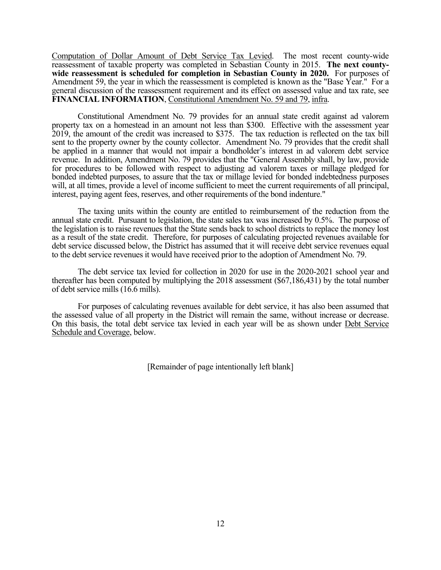Computation of Dollar Amount of Debt Service Tax Levied. The most recent county-wide reassessment of taxable property was completed in Sebastian County in 2015. **The next countywide reassessment is scheduled for completion in Sebastian County in 2020.** For purposes of Amendment 59, the year in which the reassessment is completed is known as the "Base Year." For a general discussion of the reassessment requirement and its effect on assessed value and tax rate, see **FINANCIAL INFORMATION**, Constitutional Amendment No. 59 and 79, infra.

Constitutional Amendment No. 79 provides for an annual state credit against ad valorem property tax on a homestead in an amount not less than \$300. Effective with the assessment year 2019, the amount of the credit was increased to \$375. The tax reduction is reflected on the tax bill sent to the property owner by the county collector. Amendment No. 79 provides that the credit shall be applied in a manner that would not impair a bondholder's interest in ad valorem debt service revenue. In addition, Amendment No. 79 provides that the "General Assembly shall, by law, provide for procedures to be followed with respect to adjusting ad valorem taxes or millage pledged for bonded indebted purposes, to assure that the tax or millage levied for bonded indebtedness purposes will, at all times, provide a level of income sufficient to meet the current requirements of all principal, interest, paying agent fees, reserves, and other requirements of the bond indenture."

The taxing units within the county are entitled to reimbursement of the reduction from the annual state credit. Pursuant to legislation, the state sales tax was increased by 0.5%. The purpose of the legislation is to raise revenues that the State sends back to school districts to replace the money lost as a result of the state credit. Therefore, for purposes of calculating projected revenues available for debt service discussed below, the District has assumed that it will receive debt service revenues equal to the debt service revenues it would have received prior to the adoption of Amendment No. 79.

The debt service tax levied for collection in 2020 for use in the 2020-2021 school year and thereafter has been computed by multiplying the 2018 assessment (\$67,186,431) by the total number of debt service mills (16.6 mills).

For purposes of calculating revenues available for debt service, it has also been assumed that the assessed value of all property in the District will remain the same, without increase or decrease. On this basis, the total debt service tax levied in each year will be as shown under Debt Service Schedule and Coverage, below.

[Remainder of page intentionally left blank]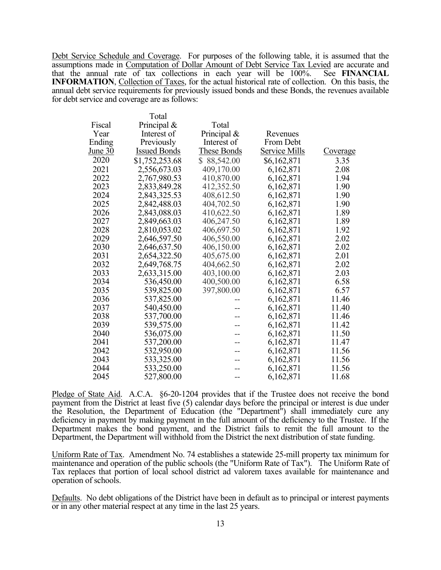Debt Service Schedule and Coverage. For purposes of the following table, it is assumed that the assumptions made in Computation of Dollar Amount of Debt Service Tax Levied are accurate and that the annual rate of tax collections in each year will be 100%. See **FINANCIAL INFORMATION**, Collection of Taxes, for the actual historical rate of collection. On this basis, the annual debt service requirements for previously issued bonds and these Bonds, the revenues available for debt service and coverage are as follows:

|                | Total               |                    |                      |                 |
|----------------|---------------------|--------------------|----------------------|-----------------|
| Fiscal         | Principal &         | Total              |                      |                 |
| Year           | Interest of         | Principal &        | Revenues             |                 |
| Ending         | Previously          | Interest of        | From Debt            |                 |
| <u>June 30</u> | <b>Issued Bonds</b> | <b>These Bonds</b> | <b>Service Mills</b> | <u>Coverage</u> |
| 2020           | \$1,752,253.68      | \$ 88,542.00       | \$6,162,871          | 3.35            |
| 2021           | 2,556,673.03        | 409,170.00         | 6,162,871            | 2.08            |
| 2022           | 2,767,980.53        | 410,870.00         | 6,162,871            | 1.94            |
| 2023           | 2,833,849.28        | 412,352.50         | 6,162,871            | 1.90            |
| 2024           | 2,843,325.53        | 408,612.50         | 6,162,871            | 1.90            |
| 2025           | 2,842,488.03        | 404,702.50         | 6,162,871            | 1.90            |
| 2026           | 2,843,088.03        | 410,622.50         | 6,162,871            | 1.89            |
| 2027           | 2,849,663.03        | 406,247.50         | 6,162,871            | 1.89            |
| 2028           | 2,810,053.02        | 406,697.50         | 6,162,871            | 1.92            |
| 2029           | 2,646,597.50        | 406,550.00         | 6,162,871            | 2.02            |
| 2030           | 2,646,637.50        | 406,150.00         | 6,162,871            | 2.02            |
| 2031           | 2,654,322.50        | 405,675.00         | 6,162,871            | 2.01            |
| 2032           | 2,649,768.75        | 404,662.50         | 6,162,871            | 2.02            |
| 2033           | 2,633,315.00        | 403,100.00         | 6,162,871            | 2.03            |
| 2034           | 536,450.00          | 400,500.00         | 6,162,871            | 6.58            |
| 2035           | 539,825.00          | 397,800.00         | 6,162,871            | 6.57            |
| 2036           | 537,825.00          |                    | 6,162,871            | 11.46           |
| 2037           | 540,450.00          |                    | 6,162,871            | 11.40           |
| 2038           | 537,700.00          |                    | 6,162,871            | 11.46           |
| 2039           | 539,575.00          |                    | 6,162,871            | 11.42           |
| 2040           | 536,075.00          |                    | 6,162,871            | 11.50           |
| 2041           | 537,200.00          |                    | 6,162,871            | 11.47           |
| 2042           | 532,950.00          |                    | 6,162,871            | 11.56           |
| 2043           | 533,325.00          |                    | 6,162,871            | 11.56           |
| 2044           | 533,250.00          |                    | 6,162,871            | 11.56           |
| 2045           | 527,800.00          |                    | 6,162,871            | 11.68           |
|                |                     |                    |                      |                 |

Pledge of State Aid. A.C.A. §6-20-1204 provides that if the Trustee does not receive the bond payment from the District at least five (5) calendar days before the principal or interest is due under the Resolution, the Department of Education (the "Department") shall immediately cure any deficiency in payment by making payment in the full amount of the deficiency to the Trustee. If the Department makes the bond payment, and the District fails to remit the full amount to the Department, the Department will withhold from the District the next distribution of state funding.

Uniform Rate of Tax. Amendment No. 74 establishes a statewide 25-mill property tax minimum for maintenance and operation of the public schools (the "Uniform Rate of Tax"). The Uniform Rate of Tax replaces that portion of local school district ad valorem taxes available for maintenance and operation of schools.

Defaults. No debt obligations of the District have been in default as to principal or interest payments or in any other material respect at any time in the last 25 years.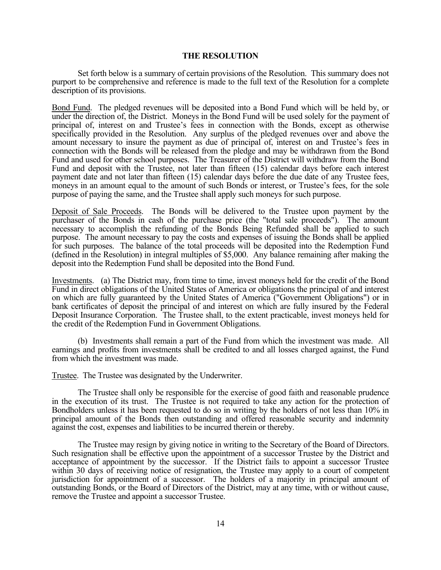#### **THE RESOLUTION**

Set forth below is a summary of certain provisions of the Resolution. This summary does not purport to be comprehensive and reference is made to the full text of the Resolution for a complete description of its provisions.

Bond Fund. The pledged revenues will be deposited into a Bond Fund which will be held by, or under the direction of, the District. Moneys in the Bond Fund will be used solely for the payment of principal of, interest on and Trustee's fees in connection with the Bonds, except as otherwise specifically provided in the Resolution. Any surplus of the pledged revenues over and above the amount necessary to insure the payment as due of principal of, interest on and Trustee's fees in connection with the Bonds will be released from the pledge and may be withdrawn from the Bond Fund and used for other school purposes. The Treasurer of the District will withdraw from the Bond Fund and deposit with the Trustee, not later than fifteen (15) calendar days before each interest payment date and not later than fifteen (15) calendar days before the due date of any Trustee fees, moneys in an amount equal to the amount of such Bonds or interest, or Trustee's fees, for the sole purpose of paying the same, and the Trustee shall apply such moneys for such purpose.

Deposit of Sale Proceeds. The Bonds will be delivered to the Trustee upon payment by the purchaser of the Bonds in cash of the purchase price (the "total sale proceeds"). The amount necessary to accomplish the refunding of the Bonds Being Refunded shall be applied to such purpose. The amount necessary to pay the costs and expenses of issuing the Bonds shall be applied for such purposes. The balance of the total proceeds will be deposited into the Redemption Fund (defined in the Resolution) in integral multiples of \$5,000. Any balance remaining after making the deposit into the Redemption Fund shall be deposited into the Bond Fund.

Investments. (a) The District may, from time to time, invest moneys held for the credit of the Bond Fund in direct obligations of the United States of America or obligations the principal of and interest on which are fully guaranteed by the United States of America ("Government Obligations") or in bank certificates of deposit the principal of and interest on which are fully insured by the Federal Deposit Insurance Corporation. The Trustee shall, to the extent practicable, invest moneys held for the credit of the Redemption Fund in Government Obligations.

(b) Investments shall remain a part of the Fund from which the investment was made. All earnings and profits from investments shall be credited to and all losses charged against, the Fund from which the investment was made.

Trustee. The Trustee was designated by the Underwriter.

The Trustee shall only be responsible for the exercise of good faith and reasonable prudence in the execution of its trust. The Trustee is not required to take any action for the protection of Bondholders unless it has been requested to do so in writing by the holders of not less than 10% in principal amount of the Bonds then outstanding and offered reasonable security and indemnity against the cost, expenses and liabilities to be incurred therein or thereby.

The Trustee may resign by giving notice in writing to the Secretary of the Board of Directors. Such resignation shall be effective upon the appointment of a successor Trustee by the District and acceptance of appointment by the successor. If the District fails to appoint a successor Trustee within 30 days of receiving notice of resignation, the Trustee may apply to a court of competent jurisdiction for appointment of a successor. The holders of a majority in principal amount of outstanding Bonds, or the Board of Directors of the District, may at any time, with or without cause, remove the Trustee and appoint a successor Trustee.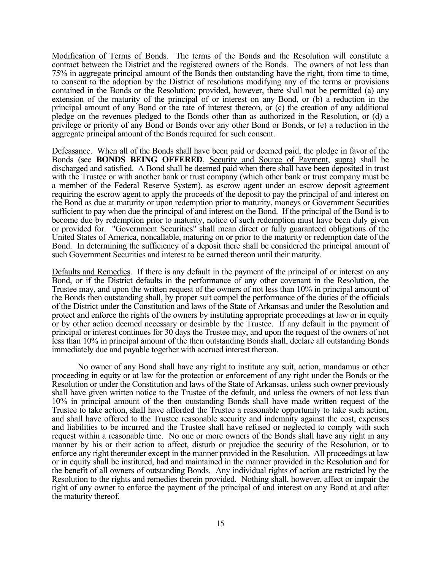Modification of Terms of Bonds. The terms of the Bonds and the Resolution will constitute a contract between the District and the registered owners of the Bonds. The owners of not less than 75% in aggregate principal amount of the Bonds then outstanding have the right, from time to time, to consent to the adoption by the District of resolutions modifying any of the terms or provisions contained in the Bonds or the Resolution; provided, however, there shall not be permitted (a) any extension of the maturity of the principal of or interest on any Bond, or (b) a reduction in the principal amount of any Bond or the rate of interest thereon, or (c) the creation of any additional pledge on the revenues pledged to the Bonds other than as authorized in the Resolution, or (d) a privilege or priority of any Bond or Bonds over any other Bond or Bonds, or (e) a reduction in the aggregate principal amount of the Bonds required for such consent.

Defeasance. When all of the Bonds shall have been paid or deemed paid, the pledge in favor of the Bonds (see **BONDS BEING OFFERED**, Security and Source of Payment, supra) shall be discharged and satisfied. A Bond shall be deemed paid when there shall have been deposited in trust with the Trustee or with another bank or trust company (which other bank or trust company must be a member of the Federal Reserve System), as escrow agent under an escrow deposit agreement requiring the escrow agent to apply the proceeds of the deposit to pay the principal of and interest on the Bond as due at maturity or upon redemption prior to maturity, moneys or Government Securities sufficient to pay when due the principal of and interest on the Bond. If the principal of the Bond is to become due by redemption prior to maturity, notice of such redemption must have been duly given or provided for. "Government Securities" shall mean direct or fully guaranteed obligations of the United States of America, noncallable, maturing on or prior to the maturity or redemption date of the Bond. In determining the sufficiency of a deposit there shall be considered the principal amount of such Government Securities and interest to be earned thereon until their maturity.

Defaults and Remedies. If there is any default in the payment of the principal of or interest on any Bond, or if the District defaults in the performance of any other covenant in the Resolution, the Trustee may, and upon the written request of the owners of not less than 10% in principal amount of the Bonds then outstanding shall, by proper suit compel the performance of the duties of the officials of the District under the Constitution and laws of the State of Arkansas and under the Resolution and protect and enforce the rights of the owners by instituting appropriate proceedings at law or in equity or by other action deemed necessary or desirable by the Trustee. If any default in the payment of principal or interest continues for 30 days the Trustee may, and upon the request of the owners of not less than 10% in principal amount of the then outstanding Bonds shall, declare all outstanding Bonds immediately due and payable together with accrued interest thereon.

No owner of any Bond shall have any right to institute any suit, action, mandamus or other proceeding in equity or at law for the protection or enforcement of any right under the Bonds or the Resolution or under the Constitution and laws of the State of Arkansas, unless such owner previously shall have given written notice to the Trustee of the default, and unless the owners of not less than 10% in principal amount of the then outstanding Bonds shall have made written request of the Trustee to take action, shall have afforded the Trustee a reasonable opportunity to take such action, and shall have offered to the Trustee reasonable security and indemnity against the cost, expenses and liabilities to be incurred and the Trustee shall have refused or neglected to comply with such request within a reasonable time. No one or more owners of the Bonds shall have any right in any manner by his or their action to affect, disturb or prejudice the security of the Resolution, or to enforce any right thereunder except in the manner provided in the Resolution. All proceedings at law or in equity shall be instituted, had and maintained in the manner provided in the Resolution and for the benefit of all owners of outstanding Bonds. Any individual rights of action are restricted by the Resolution to the rights and remedies therein provided. Nothing shall, however, affect or impair the right of any owner to enforce the payment of the principal of and interest on any Bond at and after the maturity thereof.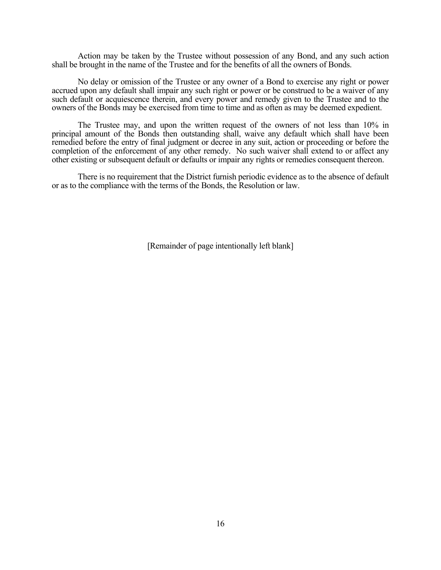Action may be taken by the Trustee without possession of any Bond, and any such action shall be brought in the name of the Trustee and for the benefits of all the owners of Bonds.

No delay or omission of the Trustee or any owner of a Bond to exercise any right or power accrued upon any default shall impair any such right or power or be construed to be a waiver of any such default or acquiescence therein, and every power and remedy given to the Trustee and to the owners of the Bonds may be exercised from time to time and as often as may be deemed expedient.

The Trustee may, and upon the written request of the owners of not less than 10% in principal amount of the Bonds then outstanding shall, waive any default which shall have been remedied before the entry of final judgment or decree in any suit, action or proceeding or before the completion of the enforcement of any other remedy. No such waiver shall extend to or affect any other existing or subsequent default or defaults or impair any rights or remedies consequent thereon.

There is no requirement that the District furnish periodic evidence as to the absence of default or as to the compliance with the terms of the Bonds, the Resolution or law.

[Remainder of page intentionally left blank]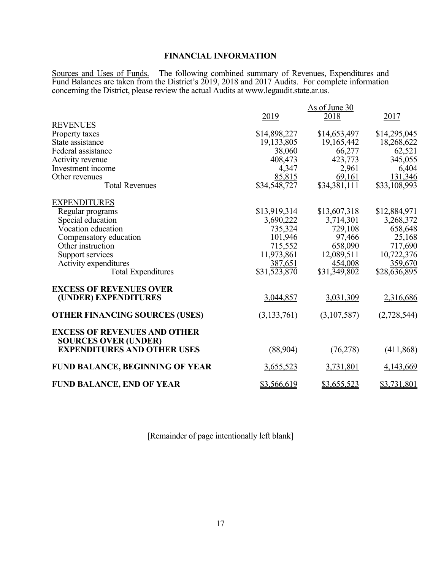# **FINANCIAL INFORMATION**

Sources and Uses of Funds. The following combined summary of Revenues, Expenditures and Fund Balances are taken from the District's 2019, 2018 and 2017 Audits. For complete information concerning the District, please review the actual Audits at www.legaudit.state.ar.us.

| <b>REVENUES</b><br>Property taxes<br>State assistance<br>Federal assistance<br>Activity revenue<br>Investment income<br>Other revenues<br><b>Total Revenues</b>                                             | 2019<br>\$14,898,227<br>19,133,805<br>38,060<br>408,473<br>4,347<br>85,815<br>\$34,548,727          | As of June 30<br>2018<br>\$14,653,497<br>19,165,442<br>66,277<br>423,773<br>2,961<br>69,161<br>\$34,381,111 | 2017<br>\$14,295,045<br>18,268,622<br>62,521<br>345,055<br>6,404<br>131,346<br>\$33,108,993        |
|-------------------------------------------------------------------------------------------------------------------------------------------------------------------------------------------------------------|-----------------------------------------------------------------------------------------------------|-------------------------------------------------------------------------------------------------------------|----------------------------------------------------------------------------------------------------|
| <b>EXPENDITURES</b><br>Regular programs<br>Special education<br>Vocation education<br>Compensatory education<br>Other instruction<br>Support services<br>Activity expenditures<br><b>Total Expenditures</b> | \$13,919,314<br>3,690,222<br>735,324<br>101,946<br>715,552<br>11,973,861<br>387,651<br>\$31,523,870 | \$13,607,318<br>3,714,301<br>729,108<br>97,466<br>658,090<br>12,089,511<br>454,008<br>\$31,349,802          | \$12,884,971<br>3,268,372<br>658,648<br>25,168<br>717,690<br>10,722,376<br>359,670<br>\$28,636,895 |
| <b>EXCESS OF REVENUES OVER</b><br>(UNDER) EXPENDITURES                                                                                                                                                      | 3,044,857                                                                                           | 3,031,309                                                                                                   | 2,316,686                                                                                          |
| <b>OTHER FINANCING SOURCES (USES)</b>                                                                                                                                                                       | (3,133,761)                                                                                         | (3,107,587)                                                                                                 | (2,728,544)                                                                                        |
| <b>EXCESS OF REVENUES AND OTHER</b><br><b>SOURCES OVER (UNDER)</b><br><b>EXPENDITURES AND OTHER USES</b><br>FUND BALANCE, BEGINNING OF YEAR                                                                 | (88,904)<br>3,655,523                                                                               | (76,278)<br>3,731,801                                                                                       | (411,868)<br>4,143,669                                                                             |
| <b>FUND BALANCE, END OF YEAR</b>                                                                                                                                                                            | \$3,566,619                                                                                         | \$3,655,523                                                                                                 | \$3,731,801                                                                                        |

[Remainder of page intentionally left blank]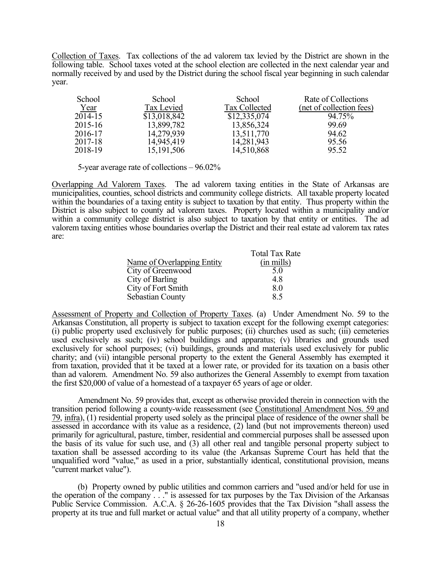Collection of Taxes. Tax collections of the ad valorem tax levied by the District are shown in the following table. School taxes voted at the school election are collected in the next calendar year and normally received by and used by the District during the school fiscal year beginning in such calendar year.

| School  | School       | School        | Rate of Collections      |
|---------|--------------|---------------|--------------------------|
| Year    | Tax Levied   | Tax Collected | (net of collection fees) |
| 2014-15 | \$13,018,842 | \$12,335,074  | 94.75%                   |
| 2015-16 | 13,899,782   | 13,856,324    | 99.69                    |
| 2016-17 | 14,279,939   | 13,511,770    | 94.62                    |
| 2017-18 | 14,945,419   | 14,281,943    | 95.56                    |
| 2018-19 | 15, 191, 506 | 14,510,868    | 95.52                    |

5-year average rate of collections – 96.02%

Overlapping Ad Valorem Taxes. The ad valorem taxing entities in the State of Arkansas are municipalities, counties, school districts and community college districts. All taxable property located within the boundaries of a taxing entity is subject to taxation by that entity. Thus property within the District is also subject to county ad valorem taxes. Property located within a municipality and/or within a community college district is also subject to taxation by that entity or entities. The ad valorem taxing entities whose boundaries overlap the District and their real estate ad valorem tax rates are:

|                            | <b>Total Tax Rate</b> |
|----------------------------|-----------------------|
| Name of Overlapping Entity | $(in \, mills)$       |
| City of Greenwood          | 5.0                   |
| City of Barling            | 4.8                   |
| City of Fort Smith         | 8.0                   |
| Sebastian County           | 8.5                   |

Assessment of Property and Collection of Property Taxes. (a) Under Amendment No. 59 to the Arkansas Constitution, all property is subject to taxation except for the following exempt categories: (i) public property used exclusively for public purposes; (ii) churches used as such; (iii) cemeteries used exclusively as such; (iv) school buildings and apparatus; (v) libraries and grounds used exclusively for school purposes; (vi) buildings, grounds and materials used exclusively for public charity; and (vii) intangible personal property to the extent the General Assembly has exempted it from taxation, provided that it be taxed at a lower rate, or provided for its taxation on a basis other than ad valorem. Amendment No. 59 also authorizes the General Assembly to exempt from taxation the first \$20,000 of value of a homestead of a taxpayer 65 years of age or older.

Amendment No. 59 provides that, except as otherwise provided therein in connection with the transition period following a county-wide reassessment (see Constitutional Amendment Nos. 59 and 79, infra), (1) residential property used solely as the principal place of residence of the owner shall be assessed in accordance with its value as a residence, (2) land (but not improvements thereon) used primarily for agricultural, pasture, timber, residential and commercial purposes shall be assessed upon the basis of its value for such use, and (3) all other real and tangible personal property subject to taxation shall be assessed according to its value (the Arkansas Supreme Court has held that the unqualified word "value," as used in a prior, substantially identical, constitutional provision, means "current market value").

(b) Property owned by public utilities and common carriers and "used and/or held for use in the operation of the company . . ." is assessed for tax purposes by the Tax Division of the Arkansas Public Service Commission. A.C.A. § 26-26-1605 provides that the Tax Division "shall assess the property at its true and full market or actual value" and that all utility property of a company, whether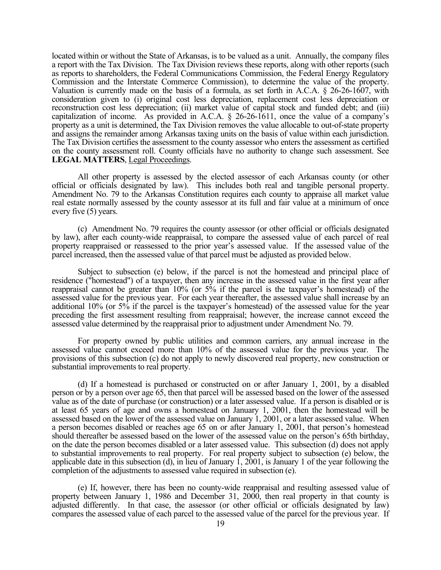located within or without the State of Arkansas, is to be valued as a unit. Annually, the company files a report with the Tax Division. The Tax Division reviews these reports, along with other reports (such as reports to shareholders, the Federal Communications Commission, the Federal Energy Regulatory Commission and the Interstate Commerce Commission), to determine the value of the property. Valuation is currently made on the basis of a formula, as set forth in A.C.A. § 26-26-1607, with consideration given to (i) original cost less depreciation, replacement cost less depreciation or reconstruction cost less depreciation; (ii) market value of capital stock and funded debt; and (iii) capitalization of income. As provided in A.C.A. § 26-26-1611, once the value of a company's property as a unit is determined, the Tax Division removes the value allocable to out-of-state property and assigns the remainder among Arkansas taxing units on the basis of value within each jurisdiction. The Tax Division certifies the assessment to the county assessor who enters the assessment as certified on the county assessment roll. County officials have no authority to change such assessment. See **LEGAL MATTERS**, Legal Proceedings.

All other property is assessed by the elected assessor of each Arkansas county (or other official or officials designated by law). This includes both real and tangible personal property. Amendment No. 79 to the Arkansas Constitution requires each county to appraise all market value real estate normally assessed by the county assessor at its full and fair value at a minimum of once every five (5) years.

(c) Amendment No. 79 requires the county assessor (or other official or officials designated by law), after each county-wide reappraisal, to compare the assessed value of each parcel of real property reappraised or reassessed to the prior year's assessed value. If the assessed value of the parcel increased, then the assessed value of that parcel must be adjusted as provided below.

Subject to subsection (e) below, if the parcel is not the homestead and principal place of residence ("homestead") of a taxpayer, then any increase in the assessed value in the first year after reappraisal cannot be greater than 10% (or 5% if the parcel is the taxpayer's homestead) of the assessed value for the previous year. For each year thereafter, the assessed value shall increase by an additional 10% (or 5% if the parcel is the taxpayer's homestead) of the assessed value for the year preceding the first assessment resulting from reappraisal; however, the increase cannot exceed the assessed value determined by the reappraisal prior to adjustment under Amendment No. 79.

For property owned by public utilities and common carriers, any annual increase in the assessed value cannot exceed more than 10% of the assessed value for the previous year. The provisions of this subsection (c) do not apply to newly discovered real property, new construction or substantial improvements to real property.

(d) If a homestead is purchased or constructed on or after January 1, 2001, by a disabled person or by a person over age 65, then that parcel will be assessed based on the lower of the assessed value as of the date of purchase (or construction) or a later assessed value. If a person is disabled or is at least 65 years of age and owns a homestead on January 1, 2001, then the homestead will be assessed based on the lower of the assessed value on January 1, 2001, or a later assessed value. When a person becomes disabled or reaches age 65 on or after January 1, 2001, that person's homestead should thereafter be assessed based on the lower of the assessed value on the person's 65th birthday, on the date the person becomes disabled or a later assessed value. This subsection (d) does not apply to substantial improvements to real property. For real property subject to subsection (e) below, the applicable date in this subsection (d), in lieu of January 1, 2001, is January 1 of the year following the completion of the adjustments to assessed value required in subsection (e).

(e) If, however, there has been no county-wide reappraisal and resulting assessed value of property between January 1, 1986 and December 31, 2000, then real property in that county is adjusted differently. In that case, the assessor (or other official or officials designated by law) compares the assessed value of each parcel to the assessed value of the parcel for the previous year. If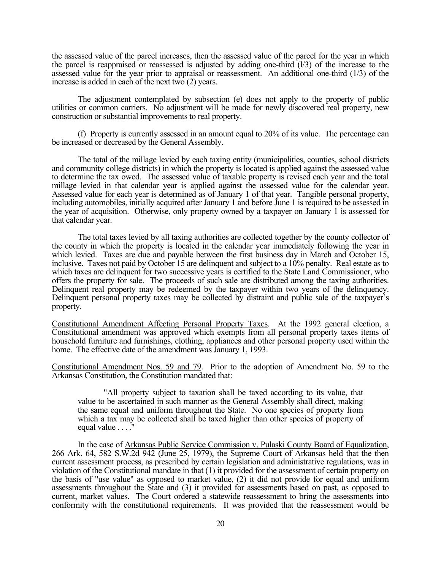the assessed value of the parcel increases, then the assessed value of the parcel for the year in which the parcel is reappraised or reassessed is adjusted by adding one-third  $(1/3)$  of the increase to the assessed value for the year prior to appraisal or reassessment. An additional one-third (1/3) of the increase is added in each of the next two (2) years.

The adjustment contemplated by subsection (e) does not apply to the property of public utilities or common carriers. No adjustment will be made for newly discovered real property, new construction or substantial improvements to real property.

(f) Property is currently assessed in an amount equal to 20% of its value. The percentage can be increased or decreased by the General Assembly.

The total of the millage levied by each taxing entity (municipalities, counties, school districts and community college districts) in which the property is located is applied against the assessed value to determine the tax owed. The assessed value of taxable property is revised each year and the total millage levied in that calendar year is applied against the assessed value for the calendar year. Assessed value for each year is determined as of January 1 of that year. Tangible personal property, including automobiles, initially acquired after January 1 and before June 1 is required to be assessed in the year of acquisition. Otherwise, only property owned by a taxpayer on January 1 is assessed for that calendar year.

The total taxes levied by all taxing authorities are collected together by the county collector of the county in which the property is located in the calendar year immediately following the year in which levied. Taxes are due and payable between the first business day in March and October 15, inclusive. Taxes not paid by October 15 are delinquent and subject to a 10% penalty. Real estate as to which taxes are delinquent for two successive years is certified to the State Land Commissioner, who offers the property for sale. The proceeds of such sale are distributed among the taxing authorities. Delinquent real property may be redeemed by the taxpayer within two years of the delinquency. Delinquent personal property taxes may be collected by distraint and public sale of the taxpayer's property.

Constitutional Amendment Affecting Personal Property Taxes. At the 1992 general election, a Constitutional amendment was approved which exempts from all personal property taxes items of household furniture and furnishings, clothing, appliances and other personal property used within the home. The effective date of the amendment was January 1, 1993.

Constitutional Amendment Nos. 59 and 79. Prior to the adoption of Amendment No. 59 to the Arkansas Constitution, the Constitution mandated that:

"All property subject to taxation shall be taxed according to its value, that value to be ascertained in such manner as the General Assembly shall direct, making the same equal and uniform throughout the State. No one species of property from which a tax may be collected shall be taxed higher than other species of property of equal value . . . ."

In the case of Arkansas Public Service Commission v. Pulaski County Board of Equalization, 266 Ark. 64, 582 S.W.2d 942 (June 25, 1979), the Supreme Court of Arkansas held that the then current assessment process, as prescribed by certain legislation and administrative regulations, was in violation of the Constitutional mandate in that (1) it provided for the assessment of certain property on the basis of "use value" as opposed to market value, (2) it did not provide for equal and uniform assessments throughout the State and (3) it provided for assessments based on past, as opposed to current, market values. The Court ordered a statewide reassessment to bring the assessments into conformity with the constitutional requirements. It was provided that the reassessment would be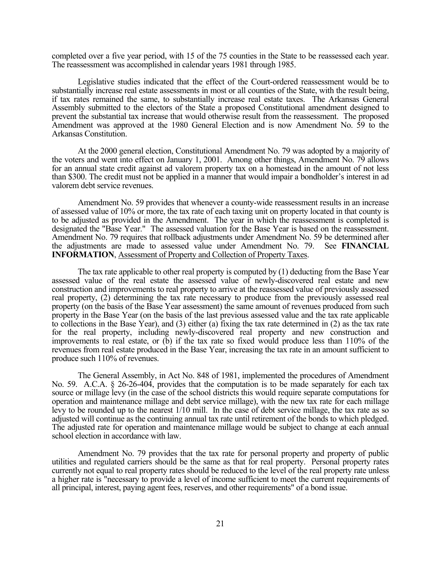completed over a five year period, with 15 of the 75 counties in the State to be reassessed each year. The reassessment was accomplished in calendar years 1981 through 1985.

Legislative studies indicated that the effect of the Court-ordered reassessment would be to substantially increase real estate assessments in most or all counties of the State, with the result being, if tax rates remained the same, to substantially increase real estate taxes. The Arkansas General Assembly submitted to the electors of the State a proposed Constitutional amendment designed to prevent the substantial tax increase that would otherwise result from the reassessment. The proposed Amendment was approved at the 1980 General Election and is now Amendment No. 59 to the Arkansas Constitution.

At the 2000 general election, Constitutional Amendment No. 79 was adopted by a majority of the voters and went into effect on January 1, 2001. Among other things, Amendment No. 79 allows for an annual state credit against ad valorem property tax on a homestead in the amount of not less than \$300. The credit must not be applied in a manner that would impair a bondholder's interest in ad valorem debt service revenues.

Amendment No. 59 provides that whenever a county-wide reassessment results in an increase of assessed value of 10% or more, the tax rate of each taxing unit on property located in that county is to be adjusted as provided in the Amendment. The year in which the reassessment is completed is designated the "Base Year." The assessed valuation for the Base Year is based on the reassessment. Amendment No. 79 requires that rollback adjustments under Amendment No. 59 be determined after the adjustments are made to assessed value under Amendment No. 79. See **FINANCIAL INFORMATION**, Assessment of Property and Collection of Property Taxes.

The tax rate applicable to other real property is computed by (1) deducting from the Base Year assessed value of the real estate the assessed value of newly-discovered real estate and new construction and improvements to real property to arrive at the reassessed value of previously assessed real property, (2) determining the tax rate necessary to produce from the previously assessed real property (on the basis of the Base Year assessment) the same amount of revenues produced from such property in the Base Year (on the basis of the last previous assessed value and the tax rate applicable to collections in the Base Year), and (3) either (a) fixing the tax rate determined in (2) as the tax rate for the real property, including newly-discovered real property and new construction and improvements to real estate, or (b) if the tax rate so fixed would produce less than 110% of the revenues from real estate produced in the Base Year, increasing the tax rate in an amount sufficient to produce such 110% of revenues.

The General Assembly, in Act No. 848 of 1981, implemented the procedures of Amendment No. 59. A.C.A. § 26-26-404, provides that the computation is to be made separately for each tax source or millage levy (in the case of the school districts this would require separate computations for operation and maintenance millage and debt service millage), with the new tax rate for each millage levy to be rounded up to the nearest 1/10 mill. In the case of debt service millage, the tax rate as so adjusted will continue as the continuing annual tax rate until retirement of the bonds to which pledged. The adjusted rate for operation and maintenance millage would be subject to change at each annual school election in accordance with law.

Amendment No. 79 provides that the tax rate for personal property and property of public utilities and regulated carriers should be the same as that for real property. Personal property rates currently not equal to real property rates should be reduced to the level of the real property rate unless a higher rate is "necessary to provide a level of income sufficient to meet the current requirements of all principal, interest, paying agent fees, reserves, and other requirements" of a bond issue.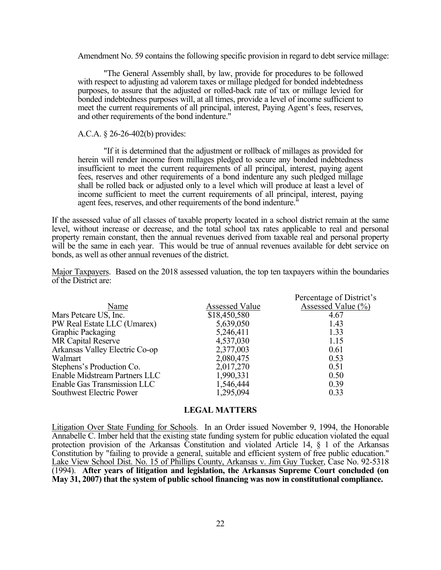Amendment No. 59 contains the following specific provision in regard to debt service millage:

"The General Assembly shall, by law, provide for procedures to be followed with respect to adjusting ad valorem taxes or millage pledged for bonded indebtedness purposes, to assure that the adjusted or rolled-back rate of tax or millage levied for bonded indebtedness purposes will, at all times, provide a level of income sufficient to meet the current requirements of all principal, interest, Paying Agent's fees, reserves, and other requirements of the bond indenture."

#### A.C.A. § 26-26-402(b) provides:

"If it is determined that the adjustment or rollback of millages as provided for herein will render income from millages pledged to secure any bonded indebtedness insufficient to meet the current requirements of all principal, interest, paying agent fees, reserves and other requirements of a bond indenture any such pledged millage shall be rolled back or adjusted only to a level which will produce at least a level of income sufficient to meet the current requirements of all principal, interest, paying agent fees, reserves, and other requirements of the bond indenture."

If the assessed value of all classes of taxable property located in a school district remain at the same level, without increase or decrease, and the total school tax rates applicable to real and personal property remain constant, then the annual revenues derived from taxable real and personal property will be the same in each year. This would be true of annual revenues available for debt service on bonds, as well as other annual revenues of the district.

Major Taxpayers. Based on the 2018 assessed valuation, the top ten taxpayers within the boundaries of the District are:

|                                |                       | Percentage of District's                  |
|--------------------------------|-----------------------|-------------------------------------------|
| Name                           | <b>Assessed Value</b> | Assessed Value $\left(\frac{0}{0}\right)$ |
| Mars Petcare US, Inc.          | \$18,450,580          | 4.67                                      |
| PW Real Estate LLC (Umarex)    | 5,639,050             | 1.43                                      |
| <b>Graphic Packaging</b>       | 5,246,411             | 1.33                                      |
| <b>MR Capital Reserve</b>      | 4,537,030             | 1.15                                      |
| Arkansas Valley Electric Co-op | 2,377,003             | 0.61                                      |
| Walmart                        | 2,080,475             | 0.53                                      |
| Stephens's Production Co.      | 2,017,270             | 0.51                                      |
| Enable Midstream Partners LLC  | 1,990,331             | 0.50                                      |
| Enable Gas Transmission LLC    | 1,546,444             | 0.39                                      |
| Southwest Electric Power       | 1,295,094             | 0.33                                      |

### **LEGAL MATTERS**

Litigation Over State Funding for Schools. In an Order issued November 9, 1994, the Honorable Annabelle C. Imber held that the existing state funding system for public education violated the equal protection provision of the Arkansas Constitution and violated Article 14, § 1 of the Arkansas Constitution by "failing to provide a general, suitable and efficient system of free public education." Lake View School Dist. No. 15 of Phillips County, Arkansas v. Jim Guy Tucker, Case No. 92-5318 (1994). **After years of litigation and legislation, the Arkansas Supreme Court concluded (on May 31, 2007) that the system of public school financing was now in constitutional compliance.**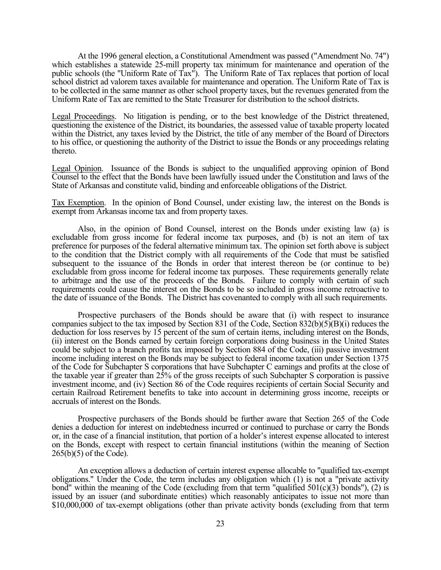At the 1996 general election, a Constitutional Amendment was passed ("Amendment No. 74") which establishes a statewide 25-mill property tax minimum for maintenance and operation of the public schools (the "Uniform Rate of Tax"). The Uniform Rate of Tax replaces that portion of local school district ad valorem taxes available for maintenance and operation. The Uniform Rate of Tax is to be collected in the same manner as other school property taxes, but the revenues generated from the Uniform Rate of Tax are remitted to the State Treasurer for distribution to the school districts.

Legal Proceedings. No litigation is pending, or to the best knowledge of the District threatened, questioning the existence of the District, its boundaries, the assessed value of taxable property located within the District, any taxes levied by the District, the title of any member of the Board of Directors to his office, or questioning the authority of the District to issue the Bonds or any proceedings relating thereto.

Legal Opinion. Issuance of the Bonds is subject to the unqualified approving opinion of Bond Counsel to the effect that the Bonds have been lawfully issued under the Constitution and laws of the State of Arkansas and constitute valid, binding and enforceable obligations of the District.

Tax Exemption. In the opinion of Bond Counsel, under existing law, the interest on the Bonds is exempt from Arkansas income tax and from property taxes.

Also, in the opinion of Bond Counsel, interest on the Bonds under existing law (a) is excludable from gross income for federal income tax purposes, and (b) is not an item of tax preference for purposes of the federal alternative minimum tax. The opinion set forth above is subject to the condition that the District comply with all requirements of the Code that must be satisfied subsequent to the issuance of the Bonds in order that interest thereon be (or continue to be) excludable from gross income for federal income tax purposes. These requirements generally relate to arbitrage and the use of the proceeds of the Bonds. Failure to comply with certain of such requirements could cause the interest on the Bonds to be so included in gross income retroactive to the date of issuance of the Bonds. The District has covenanted to comply with all such requirements.

Prospective purchasers of the Bonds should be aware that (i) with respect to insurance companies subject to the tax imposed by Section 831 of the Code, Section 832(b)(5)(B)(i) reduces the deduction for loss reserves by 15 percent of the sum of certain items, including interest on the Bonds, (ii) interest on the Bonds earned by certain foreign corporations doing business in the United States could be subject to a branch profits tax imposed by Section 884 of the Code, (iii) passive investment income including interest on the Bonds may be subject to federal income taxation under Section 1375 of the Code for Subchapter S corporations that have Subchapter C earnings and profits at the close of the taxable year if greater than 25% of the gross receipts of such Subchapter S corporation is passive investment income, and (iv) Section 86 of the Code requires recipients of certain Social Security and certain Railroad Retirement benefits to take into account in determining gross income, receipts or accruals of interest on the Bonds.

Prospective purchasers of the Bonds should be further aware that Section 265 of the Code denies a deduction for interest on indebtedness incurred or continued to purchase or carry the Bonds or, in the case of a financial institution, that portion of a holder's interest expense allocated to interest on the Bonds, except with respect to certain financial institutions (within the meaning of Section 265(b)(5) of the Code).

An exception allows a deduction of certain interest expense allocable to "qualified tax-exempt obligations." Under the Code, the term includes any obligation which (1) is not a "private activity bond" within the meaning of the Code (excluding from that term "qualified  $501(c)(3)$  bonds"), (2) is issued by an issuer (and subordinate entities) which reasonably anticipates to issue not more than \$10,000,000 of tax-exempt obligations (other than private activity bonds (excluding from that term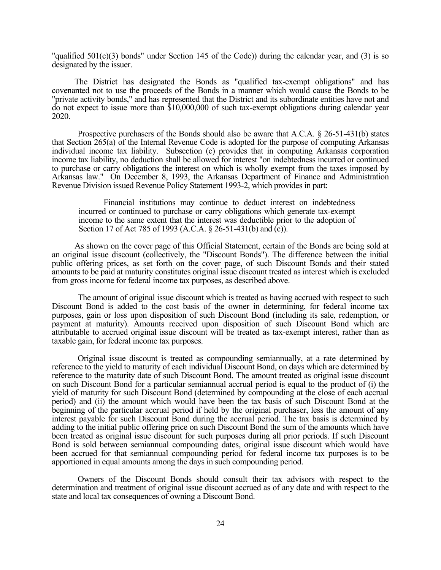"qualified  $501(c)(3)$  bonds" under Section 145 of the Code)) during the calendar year, and (3) is so designated by the issuer.

The District has designated the Bonds as "qualified tax-exempt obligations" and has covenanted not to use the proceeds of the Bonds in a manner which would cause the Bonds to be "private activity bonds," and has represented that the District and its subordinate entities have not and do not expect to issue more than \$10,000,000 of such tax-exempt obligations during calendar year 2020.

Prospective purchasers of the Bonds should also be aware that A.C.A. § 26-51-431(b) states that Section 265(a) of the Internal Revenue Code is adopted for the purpose of computing Arkansas individual income tax liability. Subsection (c) provides that in computing Arkansas corporation income tax liability, no deduction shall be allowed for interest "on indebtedness incurred or continued to purchase or carry obligations the interest on which is wholly exempt from the taxes imposed by Arkansas law." On December 8, 1993, the Arkansas Department of Finance and Administration Revenue Division issued Revenue Policy Statement 1993-2, which provides in part:

Financial institutions may continue to deduct interest on indebtedness incurred or continued to purchase or carry obligations which generate tax-exempt income to the same extent that the interest was deductible prior to the adoption of Section 17 of Act 785 of 1993 (A.C.A. § 26-51-431(b) and (c)).

As shown on the cover page of this Official Statement, certain of the Bonds are being sold at an original issue discount (collectively, the "Discount Bonds"). The difference between the initial public offering prices, as set forth on the cover page, of such Discount Bonds and their stated amounts to be paid at maturity constitutes original issue discount treated as interest which is excluded from gross income for federal income tax purposes, as described above.

 The amount of original issue discount which is treated as having accrued with respect to such Discount Bond is added to the cost basis of the owner in determining, for federal income tax purposes, gain or loss upon disposition of such Discount Bond (including its sale, redemption, or payment at maturity). Amounts received upon disposition of such Discount Bond which are attributable to accrued original issue discount will be treated as tax-exempt interest, rather than as taxable gain, for federal income tax purposes.

 Original issue discount is treated as compounding semiannually, at a rate determined by reference to the yield to maturity of each individual Discount Bond, on days which are determined by reference to the maturity date of such Discount Bond. The amount treated as original issue discount on such Discount Bond for a particular semiannual accrual period is equal to the product of (i) the yield of maturity for such Discount Bond (determined by compounding at the close of each accrual period) and (ii) the amount which would have been the tax basis of such Discount Bond at the beginning of the particular accrual period if held by the original purchaser, less the amount of any interest payable for such Discount Bond during the accrual period. The tax basis is determined by adding to the initial public offering price on such Discount Bond the sum of the amounts which have been treated as original issue discount for such purposes during all prior periods. If such Discount Bond is sold between semiannual compounding dates, original issue discount which would have been accrued for that semiannual compounding period for federal income tax purposes is to be apportioned in equal amounts among the days in such compounding period.

 Owners of the Discount Bonds should consult their tax advisors with respect to the determination and treatment of original issue discount accrued as of any date and with respect to the state and local tax consequences of owning a Discount Bond.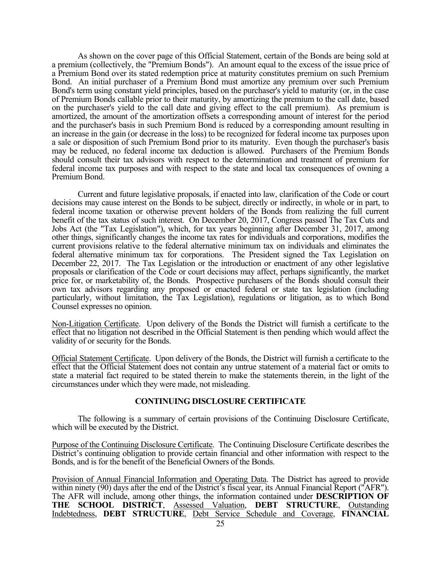As shown on the cover page of this Official Statement, certain of the Bonds are being sold at a premium (collectively, the "Premium Bonds"). An amount equal to the excess of the issue price of a Premium Bond over its stated redemption price at maturity constitutes premium on such Premium Bond. An initial purchaser of a Premium Bond must amortize any premium over such Premium Bond's term using constant yield principles, based on the purchaser's yield to maturity (or, in the case of Premium Bonds callable prior to their maturity, by amortizing the premium to the call date, based on the purchaser's yield to the call date and giving effect to the call premium). As premium is amortized, the amount of the amortization offsets a corresponding amount of interest for the period and the purchaser's basis in such Premium Bond is reduced by a corresponding amount resulting in an increase in the gain (or decrease in the loss) to be recognized for federal income tax purposes upon a sale or disposition of such Premium Bond prior to its maturity. Even though the purchaser's basis may be reduced, no federal income tax deduction is allowed. Purchasers of the Premium Bonds should consult their tax advisors with respect to the determination and treatment of premium for federal income tax purposes and with respect to the state and local tax consequences of owning a Premium Bond.

Current and future legislative proposals, if enacted into law, clarification of the Code or court decisions may cause interest on the Bonds to be subject, directly or indirectly, in whole or in part, to federal income taxation or otherwise prevent holders of the Bonds from realizing the full current benefit of the tax status of such interest. On December 20, 2017, Congress passed The Tax Cuts and Jobs Act (the "Tax Legislation"), which, for tax years beginning after December 31, 2017, among other things, significantly changes the income tax rates for individuals and corporations, modifies the current provisions relative to the federal alternative minimum tax on individuals and eliminates the federal alternative minimum tax for corporations. The President signed the Tax Legislation on December 22, 2017. The Tax Legislation or the introduction or enactment of any other legislative proposals or clarification of the Code or court decisions may affect, perhaps significantly, the market price for, or marketability of, the Bonds. Prospective purchasers of the Bonds should consult their own tax advisors regarding any proposed or enacted federal or state tax legislation (including particularly, without limitation, the Tax Legislation), regulations or litigation, as to which Bond Counsel expresses no opinion.

Non-Litigation Certificate. Upon delivery of the Bonds the District will furnish a certificate to the effect that no litigation not described in the Official Statement is then pending which would affect the validity of or security for the Bonds.

Official Statement Certificate. Upon delivery of the Bonds, the District will furnish a certificate to the effect that the Official Statement does not contain any untrue statement of a material fact or omits to state a material fact required to be stated therein to make the statements therein, in the light of the circumstances under which they were made, not misleading.

### **CONTINUING DISCLOSURE CERTIFICATE**

The following is a summary of certain provisions of the Continuing Disclosure Certificate, which will be executed by the District.

Purpose of the Continuing Disclosure Certificate. The Continuing Disclosure Certificate describes the District's continuing obligation to provide certain financial and other information with respect to the Bonds, and is for the benefit of the Beneficial Owners of the Bonds.

Provision of Annual Financial Information and Operating Data. The District has agreed to provide within ninety (90) days after the end of the District's fiscal year, its Annual Financial Report ("AFR"). The AFR will include, among other things, the information contained under **DESCRIPTION OF THE SCHOOL DISTRICT**, Assessed Valuation, **DEBT STRUCTURE**, Outstanding Indebtedness, **DEBT STRUCTURE**, Debt Service Schedule and Coverage, **FINANCIAL**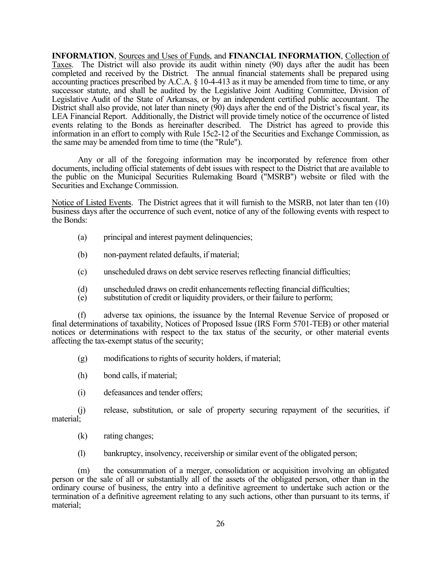**INFORMATION**, Sources and Uses of Funds, and **FINANCIAL INFORMATION**, Collection of Taxes. The District will also provide its audit within ninety (90) days after the audit has been completed and received by the District. The annual financial statements shall be prepared using accounting practices prescribed by A.C.A. § 10-4-413 as it may be amended from time to time, or any successor statute, and shall be audited by the Legislative Joint Auditing Committee, Division of Legislative Audit of the State of Arkansas, or by an independent certified public accountant. The District shall also provide, not later than ninety (90) days after the end of the District's fiscal year, its LEA Financial Report. Additionally, the District will provide timely notice of the occurrence of listed events relating to the Bonds as hereinafter described. The District has agreed to provide this information in an effort to comply with Rule 15c2-12 of the Securities and Exchange Commission, as the same may be amended from time to time (the "Rule").

Any or all of the foregoing information may be incorporated by reference from other documents, including official statements of debt issues with respect to the District that are available to the public on the Municipal Securities Rulemaking Board ("MSRB") website or filed with the Securities and Exchange Commission.

Notice of Listed Events. The District agrees that it will furnish to the MSRB, not later than ten (10) business days after the occurrence of such event, notice of any of the following events with respect to the Bonds:

- (a) principal and interest payment delinquencies;
- (b) non-payment related defaults, if material;
- (c) unscheduled draws on debt service reserves reflecting financial difficulties;
- (d) unscheduled draws on credit enhancements reflecting financial difficulties;
- (e) substitution of credit or liquidity providers, or their failure to perform;

(f) adverse tax opinions, the issuance by the Internal Revenue Service of proposed or final determinations of taxability, Notices of Proposed Issue (IRS Form 5701-TEB) or other material notices or determinations with respect to the tax status of the security, or other material events affecting the tax-exempt status of the security;

- (g) modifications to rights of security holders, if material;
- (h) bond calls, if material;
- (i) defeasances and tender offers;

(j) release, substitution, or sale of property securing repayment of the securities, if material;

- (k) rating changes;
- (l) bankruptcy, insolvency, receivership or similar event of the obligated person;

(m) the consummation of a merger, consolidation or acquisition involving an obligated person or the sale of all or substantially all of the assets of the obligated person, other than in the ordinary course of business, the entry into a definitive agreement to undertake such action or the termination of a definitive agreement relating to any such actions, other than pursuant to its terms, if material;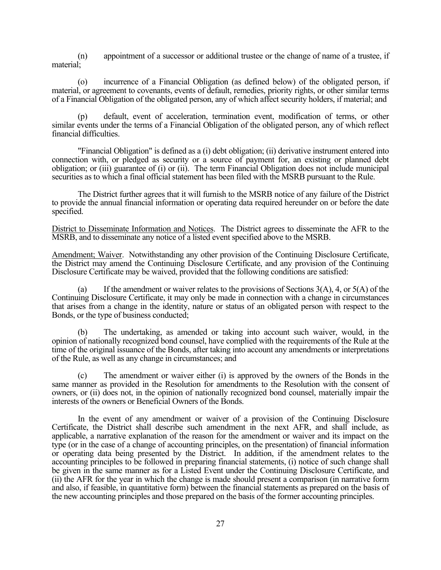(n) appointment of a successor or additional trustee or the change of name of a trustee, if material;

(o) incurrence of a Financial Obligation (as defined below) of the obligated person, if material, or agreement to covenants, events of default, remedies, priority rights, or other similar terms of a Financial Obligation of the obligated person, any of which affect security holders, if material; and

(p) default, event of acceleration, termination event, modification of terms, or other similar events under the terms of a Financial Obligation of the obligated person, any of which reflect financial difficulties.

"Financial Obligation" is defined as a (i) debt obligation; (ii) derivative instrument entered into connection with, or pledged as security or a source of payment for, an existing or planned debt obligation; or (iii) guarantee of (i) or (ii). The term Financial Obligation does not include municipal securities as to which a final official statement has been filed with the MSRB pursuant to the Rule.

The District further agrees that it will furnish to the MSRB notice of any failure of the District to provide the annual financial information or operating data required hereunder on or before the date specified.

District to Disseminate Information and Notices. The District agrees to disseminate the AFR to the MSRB, and to disseminate any notice of a listed event specified above to the MSRB.

Amendment; Waiver. Notwithstanding any other provision of the Continuing Disclosure Certificate, the District may amend the Continuing Disclosure Certificate, and any provision of the Continuing Disclosure Certificate may be waived, provided that the following conditions are satisfied:

(a) If the amendment or waiver relates to the provisions of Sections 3(A), 4, or 5(A) of the Continuing Disclosure Certificate, it may only be made in connection with a change in circumstances that arises from a change in the identity, nature or status of an obligated person with respect to the Bonds, or the type of business conducted;

(b) The undertaking, as amended or taking into account such waiver, would, in the opinion of nationally recognized bond counsel, have complied with the requirements of the Rule at the time of the original issuance of the Bonds, after taking into account any amendments or interpretations of the Rule, as well as any change in circumstances; and

(c) The amendment or waiver either (i) is approved by the owners of the Bonds in the same manner as provided in the Resolution for amendments to the Resolution with the consent of owners, or (ii) does not, in the opinion of nationally recognized bond counsel, materially impair the interests of the owners or Beneficial Owners of the Bonds.

In the event of any amendment or waiver of a provision of the Continuing Disclosure Certificate, the District shall describe such amendment in the next AFR, and shall include, as applicable, a narrative explanation of the reason for the amendment or waiver and its impact on the type (or in the case of a change of accounting principles, on the presentation) of financial information or operating data being presented by the District. In addition, if the amendment relates to the accounting principles to be followed in preparing financial statements, (i) notice of such change shall be given in the same manner as for a Listed Event under the Continuing Disclosure Certificate, and (ii) the AFR for the year in which the change is made should present a comparison (in narrative form and also, if feasible, in quantitative form) between the financial statements as prepared on the basis of the new accounting principles and those prepared on the basis of the former accounting principles.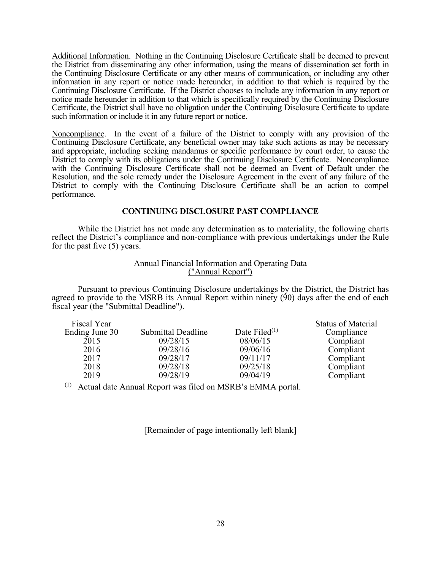Additional Information. Nothing in the Continuing Disclosure Certificate shall be deemed to prevent the District from disseminating any other information, using the means of dissemination set forth in the Continuing Disclosure Certificate or any other means of communication, or including any other information in any report or notice made hereunder, in addition to that which is required by the Continuing Disclosure Certificate. If the District chooses to include any information in any report or notice made hereunder in addition to that which is specifically required by the Continuing Disclosure Certificate, the District shall have no obligation under the Continuing Disclosure Certificate to update such information or include it in any future report or notice.

Noncompliance. In the event of a failure of the District to comply with any provision of the Continuing Disclosure Certificate, any beneficial owner may take such actions as may be necessary and appropriate, including seeking mandamus or specific performance by court order, to cause the District to comply with its obligations under the Continuing Disclosure Certificate. Noncompliance with the Continuing Disclosure Certificate shall not be deemed an Event of Default under the Resolution, and the sole remedy under the Disclosure Agreement in the event of any failure of the District to comply with the Continuing Disclosure Certificate shall be an action to compel performance.

# **CONTINUING DISCLOSURE PAST COMPLIANCE**

 While the District has not made any determination as to materiality, the following charts reflect the District's compliance and non-compliance with previous undertakings under the Rule for the past five (5) years.

# Annual Financial Information and Operating Data ("Annual Report")

Pursuant to previous Continuing Disclosure undertakings by the District, the District has agreed to provide to the MSRB its Annual Report within ninety (90) days after the end of each fiscal year (the "Submittal Deadline").

 $\sim$   $\sim$   $\sim$   $\sim$ 

| Fiscal Year    |                    |                  | <b>Status of Material</b> |
|----------------|--------------------|------------------|---------------------------|
| Ending June 30 | Submittal Deadline | Date Filed $(1)$ | Compliance                |
| 2015           | 09/28/15           | 08/06/15         | Compliant                 |
| 2016           | 09/28/16           | 09/06/16         | Compliant                 |
| 2017           | 09/28/17           | 09/11/17         | Compliant                 |
| 2018           | 09/28/18           | 09/25/18         | Compliant                 |
| 2019           | 09/28/19           | 09/04/19         | Compliant                 |
|                |                    |                  |                           |

 $(1)$  Actual date Annual Report was filed on MSRB's EMMA portal.

[Remainder of page intentionally left blank]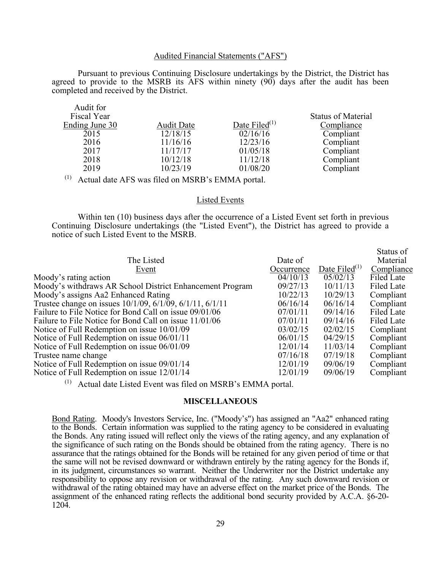### Audited Financial Statements ("AFS")

Pursuant to previous Continuing Disclosure undertakings by the District, the District has agreed to provide to the MSRB its AFS within ninety (90) days after the audit has been completed and received by the District.

| Audit for      |                   |                  |                           |
|----------------|-------------------|------------------|---------------------------|
| Fiscal Year    |                   |                  | <b>Status of Material</b> |
| Ending June 30 | <b>Audit Date</b> | Date Filed $(1)$ | Compliance                |
| 2015           | 12/18/15          | 02/16/16         | Compliant                 |
| 2016           | 11/16/16          | 12/23/16         | Compliant                 |
| 2017           | 11/17/17          | 01/05/18         | Compliant                 |
| 2018           | 10/12/18          | 11/12/18         | Compliant                 |
| 2019           | 10/23/19          | 01/08/20         | Compliant                 |
|                |                   |                  |                           |

(1) Actual date AFS was filed on MSRB's EMMA portal.

### Listed Events

 Within ten (10) business days after the occurrence of a Listed Event set forth in previous Continuing Disclosure undertakings (the "Listed Event"), the District has agreed to provide a notice of such Listed Event to the MSRB.

| The Listed                                               | Date of    |                  | Status of<br>Material |
|----------------------------------------------------------|------------|------------------|-----------------------|
| Event                                                    | Occurrence | Date Filed $(1)$ | Compliance            |
| Moody's rating action                                    | 04/10/13   | 05/02/13         | Filed Late            |
| Moody's withdraws AR School District Enhancement Program | 09/27/13   | 10/11/13         | Filed Late            |
| Moody's assigns Aa2 Enhanced Rating                      | 10/22/13   | 10/29/13         | Compliant             |
| Trustee change on issues 10/1/09, 6/1/09, 6/1/11, 6/1/11 | 06/16/14   | 06/16/14         | Compliant             |
| Failure to File Notice for Bond Call on issue 09/01/06   | 07/01/11   | 09/14/16         | Filed Late            |
| Failure to File Notice for Bond Call on issue 11/01/06   | 07/01/11   | 09/14/16         | Filed Late            |
| Notice of Full Redemption on issue 10/01/09              | 03/02/15   | 02/02/15         | Compliant             |
| Notice of Full Redemption on issue 06/01/11              | 06/01/15   | 04/29/15         | Compliant             |
| Notice of Full Redemption on issue 06/01/09              | 12/01/14   | 11/03/14         | Compliant             |
| Trustee name change                                      | 07/16/18   | 07/19/18         | Compliant             |
| Notice of Full Redemption on issue 09/01/14              | 12/01/19   | 09/06/19         | Compliant             |
| Notice of Full Redemption on issue 12/01/14              | 12/01/19   | 09/06/19         | Compliant             |

 $(1)$  Actual date Listed Event was filed on MSRB's EMMA portal.

### **MISCELLANEOUS**

Bond Rating. Moody's Investors Service, Inc. ("Moody's") has assigned an "Aa2" enhanced rating to the Bonds. Certain information was supplied to the rating agency to be considered in evaluating the Bonds. Any rating issued will reflect only the views of the rating agency, and any explanation of the significance of such rating on the Bonds should be obtained from the rating agency. There is no assurance that the ratings obtained for the Bonds will be retained for any given period of time or that the same will not be revised downward or withdrawn entirely by the rating agency for the Bonds if, in its judgment, circumstances so warrant. Neither the Underwriter nor the District undertake any responsibility to oppose any revision or withdrawal of the rating. Any such downward revision or withdrawal of the rating obtained may have an adverse effect on the market price of the Bonds. The assignment of the enhanced rating reflects the additional bond security provided by A.C.A. §6-20- 1204.